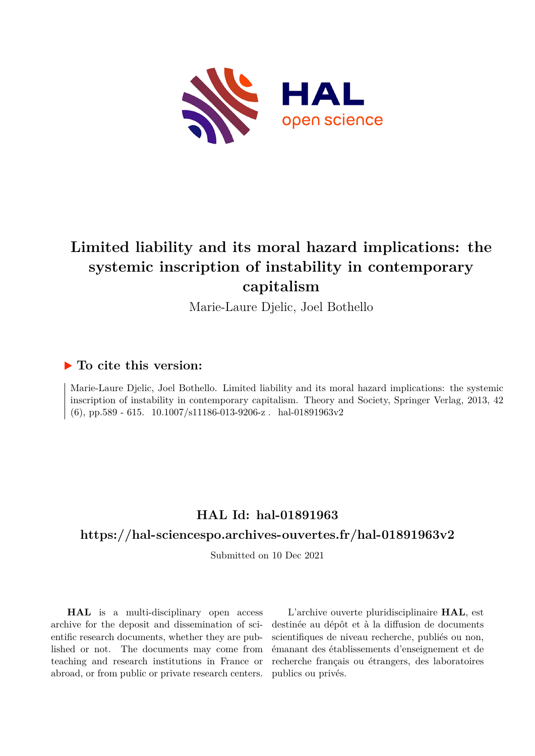

# **Limited liability and its moral hazard implications: the systemic inscription of instability in contemporary capitalism**

Marie-Laure Djelic, Joel Bothello

## **To cite this version:**

Marie-Laure Djelic, Joel Bothello. Limited liability and its moral hazard implications: the systemic inscription of instability in contemporary capitalism. Theory and Society, Springer Verlag, 2013, 42 (6), pp.589 - 615.  $10.1007/s11186-013-9206-z$ . hal-01891963v2

## **HAL Id: hal-01891963**

## **<https://hal-sciencespo.archives-ouvertes.fr/hal-01891963v2>**

Submitted on 10 Dec 2021

**HAL** is a multi-disciplinary open access archive for the deposit and dissemination of scientific research documents, whether they are published or not. The documents may come from teaching and research institutions in France or abroad, or from public or private research centers.

L'archive ouverte pluridisciplinaire **HAL**, est destinée au dépôt et à la diffusion de documents scientifiques de niveau recherche, publiés ou non, émanant des établissements d'enseignement et de recherche français ou étrangers, des laboratoires publics ou privés.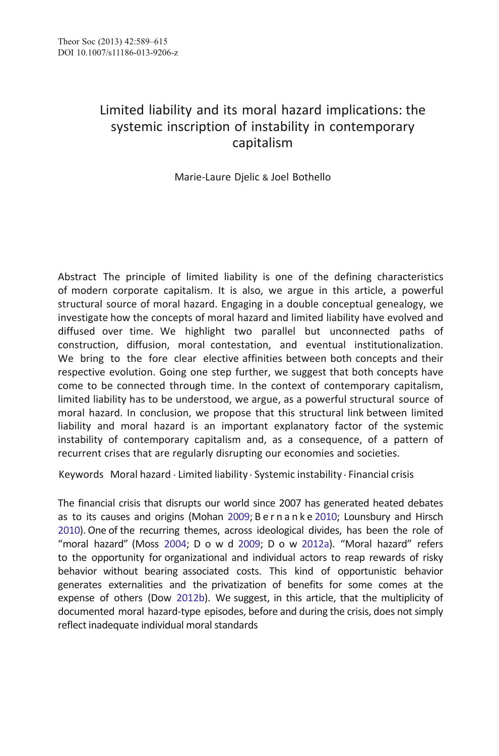### Limited liability and its moral hazard implications: the systemic inscription of instability in contemporary capitalism

Marie-Laure Djelic & Joel Bothello

Abstract The principle of limited liability is one of the defining characteristics of modern corporate capitalism. It is also, we argue in this article, a powerful structural source of moral hazard. Engaging in a double conceptual genealogy, we investigate how the concepts of moral hazard and limited liability have evolved and diffused over time. We highlight two parallel but unconnected paths of construction, diffusion, moral contestation, and eventual institutionalization. We bring to the fore clear elective affinities between both concepts and their respective evolution. Going one step further, we suggest that both concepts have come to be connected through time. In the context of contemporary capitalism, limited liability has to be understood, we argue, as a powerful structural source of moral hazard. In conclusion, we propose that this structural link between limited liability and moral hazard is an important explanatory factor of the systemic instability of contemporary capitalism and, as a consequence, of a pattern of recurrent crises that are regularly disrupting our economies and societies.

Keywords Moral hazard . Limited liability . Systemic instability . Financial crisis

The financial crisis that disrupts our world since 2007 has generated heated debates as to its causes and origins (Mohan 2009; Bernanke 2010; Lounsbury and Hirsch 2010). One of the recurring themes, across ideological divides, has been the role of "moral hazard" (Moss 2004; D o w d 2009; D o w 2012a). "Moral hazard" refers to the opportunity for organizational and individual actors to reap rewards of risky behavior without bearing associated costs. This kind of opportunistic behavior generates externalities and the privatization of benefits for some comes at the expense of others (Dow 2012b). We suggest, in this article, that the multiplicity of documented moral hazard-type episodes, before and during the crisis, does not simply reflect inadequate individual moral standards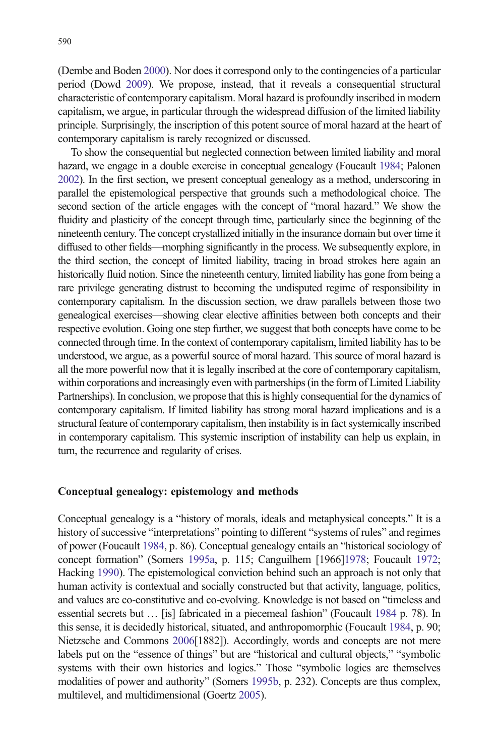(Dembe and Boden 2000). Nor does it correspond only to the contingencies of a particular period (Dowd 2009). We propose, instead, that it reveals a consequential structural characteristic of contemporary capitalism. Moral hazard is profoundly inscribed in modern capitalism, we argue, in particular through the widespread diffusion of the limited liability principle. Surprisingly, the inscription of this potent source of moral hazard at the heart of contemporary capitalism is rarely recognized or discussed.

To show the consequential but neglected connection between limited liability and moral hazard, we engage in a double exercise in conceptual genealogy (Foucault 1984; Palonen 2002). In the first section, we present conceptual genealogy as a method, underscoring in parallel the epistemological perspective that grounds such a methodological choice. The second section of the article engages with the concept of "moral hazard." We show the fluidity and plasticity of the concept through time, particularly since the beginning of the nineteenth century. The concept crystallized initially in the insurance domain but over time it diffused to other fields—morphing significantly in the process. We subsequently explore, in the third section, the concept of limited liability, tracing in broad strokes here again an historically fluid notion. Since the nineteenth century, limited liability has gone from being a rare privilege generating distrust to becoming the undisputed regime of responsibility in contemporary capitalism. In the discussion section, we draw parallels between those two genealogical exercises—showing clear elective affinities between both concepts and their respective evolution. Going one step further, we suggest that both concepts have come to be connected through time. In the context of contemporary capitalism, limited liability has to be understood, we argue, as a powerful source of moral hazard. This source of moral hazard is all the more powerful now that it is legally inscribed at the core of contemporary capitalism, within corporations and increasingly even with partnerships (in the form of Limited Liability Partnerships). In conclusion, we propose that this is highly consequential for the dynamics of contemporary capitalism. If limited liability has strong moral hazard implications and is a structural feature of contemporary capitalism, then instability is in fact systemically inscribed in contemporary capitalism. This systemic inscription of instability can help us explain, in turn, the recurrence and regularity of crises.

#### Conceptual genealogy: epistemology and methods

Conceptual genealogy is a "history of morals, ideals and metaphysical concepts." It is a history of successive "interpretations" pointing to different "systems of rules" and regimes of power (Foucault 1984, p. 86). Conceptual genealogy entails an "historical sociology of concept formation" (Somers 1995a, p. 115; Canguilhem [1966]1978; Foucault 1972; Hacking 1990). The epistemological conviction behind such an approach is not only that human activity is contextual and socially constructed but that activity, language, politics, and values are co-constitutive and co-evolving. Knowledge is not based on "timeless and essential secrets but … [is] fabricated in a piecemeal fashion" (Foucault 1984 p. 78). In this sense, it is decidedly historical, situated, and anthropomorphic (Foucault 1984, p. 90; Nietzsche and Commons 2006[1882]). Accordingly, words and concepts are not mere labels put on the "essence of things" but are "historical and cultural objects," "symbolic systems with their own histories and logics." Those "symbolic logics are themselves modalities of power and authority" (Somers 1995b, p. 232). Concepts are thus complex, multilevel, and multidimensional (Goertz 2005).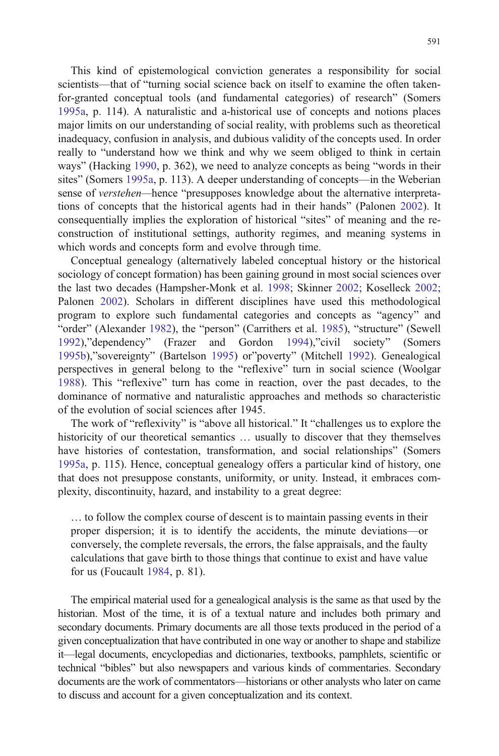This kind of epistemological conviction generates a responsibility for social scientists—that of "turning social science back on itself to examine the often takenfor-granted conceptual tools (and fundamental categories) of research" (Somers 1995a, p. 114). A naturalistic and a-historical use of concepts and notions places major limits on our understanding of social reality, with problems such as theoretical inadequacy, confusion in analysis, and dubious validity of the concepts used. In order really to "understand how we think and why we seem obliged to think in certain ways" (Hacking 1990, p. 362), we need to analyze concepts as being "words in their sites" (Somers 1995a, p. 113). A deeper understanding of concepts—in the Weberian sense of *verstehen*—hence "presupposes knowledge about the alternative interpretations of concepts that the historical agents had in their hands" (Palonen 2002). It consequentially implies the exploration of historical "sites" of meaning and the reconstruction of institutional settings, authority regimes, and meaning systems in which words and concepts form and evolve through time.

Conceptual genealogy (alternatively labeled conceptual history or the historical sociology of concept formation) has been gaining ground in most social sciences over the last two decades (Hampsher-Monk et al. 1998; Skinner 2002; Koselleck 2002; Palonen 2002). Scholars in different disciplines have used this methodological program to explore such fundamental categories and concepts as "agency" and "order" (Alexander 1982), the "person" (Carrithers et al. 1985), "structure" (Sewell 1992),"dependency" (Frazer and Gordon 1994),"civil society" (Somers 1995b),"sovereignty" (Bartelson 1995) or"poverty" (Mitchell 1992). Genealogical perspectives in general belong to the "reflexive" turn in social science (Woolgar 1988). This "reflexive" turn has come in reaction, over the past decades, to the dominance of normative and naturalistic approaches and methods so characteristic of the evolution of social sciences after 1945.

The work of "reflexivity" is "above all historical." It "challenges us to explore the historicity of our theoretical semantics … usually to discover that they themselves have histories of contestation, transformation, and social relationships" (Somers 1995a, p. 115). Hence, conceptual genealogy offers a particular kind of history, one that does not presuppose constants, uniformity, or unity. Instead, it embraces complexity, discontinuity, hazard, and instability to a great degree:

… to follow the complex course of descent is to maintain passing events in their proper dispersion; it is to identify the accidents, the minute deviations—or conversely, the complete reversals, the errors, the false appraisals, and the faulty calculations that gave birth to those things that continue to exist and have value for us (Foucault 1984, p. 81).

The empirical material used for a genealogical analysis is the same as that used by the historian. Most of the time, it is of a textual nature and includes both primary and secondary documents. Primary documents are all those texts produced in the period of a given conceptualization that have contributed in one way or another to shape and stabilize it—legal documents, encyclopedias and dictionaries, textbooks, pamphlets, scientific or technical "bibles" but also newspapers and various kinds of commentaries. Secondary documents are the work of commentators—historians or other analysts who later on came to discuss and account for a given conceptualization and its context.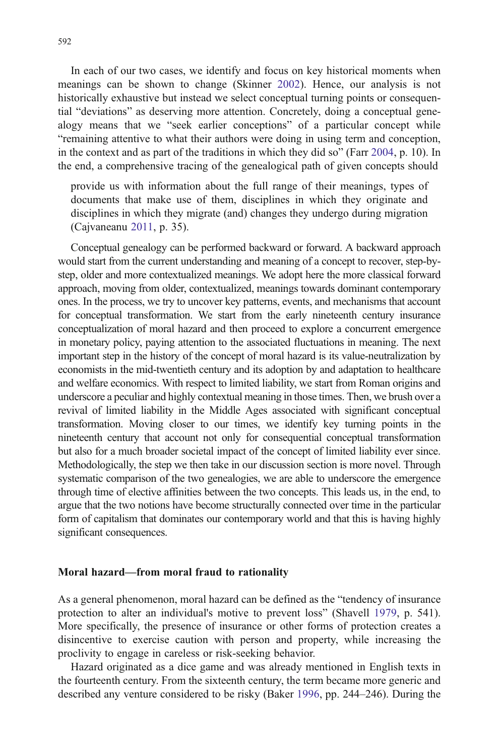In each of our two cases, we identify and focus on key historical moments when meanings can be shown to change (Skinner 2002). Hence, our analysis is not historically exhaustive but instead we select conceptual turning points or consequential "deviations" as deserving more attention. Concretely, doing a conceptual genealogy means that we "seek earlier conceptions" of a particular concept while "remaining attentive to what their authors were doing in using term and conception, in the context and as part of the traditions in which they did so" (Farr 2004, p. 10). In the end, a comprehensive tracing of the genealogical path of given concepts should

provide us with information about the full range of their meanings, types of documents that make use of them, disciplines in which they originate and disciplines in which they migrate (and) changes they undergo during migration (Cajvaneanu 2011, p. 35).

Conceptual genealogy can be performed backward or forward. A backward approach would start from the current understanding and meaning of a concept to recover, step-bystep, older and more contextualized meanings. We adopt here the more classical forward approach, moving from older, contextualized, meanings towards dominant contemporary ones. In the process, we try to uncover key patterns, events, and mechanisms that account for conceptual transformation. We start from the early nineteenth century insurance conceptualization of moral hazard and then proceed to explore a concurrent emergence in monetary policy, paying attention to the associated fluctuations in meaning. The next important step in the history of the concept of moral hazard is its value-neutralization by economists in the mid-twentieth century and its adoption by and adaptation to healthcare and welfare economics. With respect to limited liability, we start from Roman origins and underscore a peculiar and highly contextual meaning in those times. Then, we brush over a revival of limited liability in the Middle Ages associated with significant conceptual transformation. Moving closer to our times, we identify key turning points in the nineteenth century that account not only for consequential conceptual transformation but also for a much broader societal impact of the concept of limited liability ever since. Methodologically, the step we then take in our discussion section is more novel. Through systematic comparison of the two genealogies, we are able to underscore the emergence through time of elective affinities between the two concepts. This leads us, in the end, to argue that the two notions have become structurally connected over time in the particular form of capitalism that dominates our contemporary world and that this is having highly significant consequences.

#### Moral hazard—from moral fraud to rationality

As a general phenomenon, moral hazard can be defined as the "tendency of insurance protection to alter an individual's motive to prevent loss" (Shavell 1979, p. 541). More specifically, the presence of insurance or other forms of protection creates a disincentive to exercise caution with person and property, while increasing the proclivity to engage in careless or risk-seeking behavior.

Hazard originated as a dice game and was already mentioned in English texts in the fourteenth century. From the sixteenth century, the term became more generic and described any venture considered to be risky (Baker 1996, pp. 244–246). During the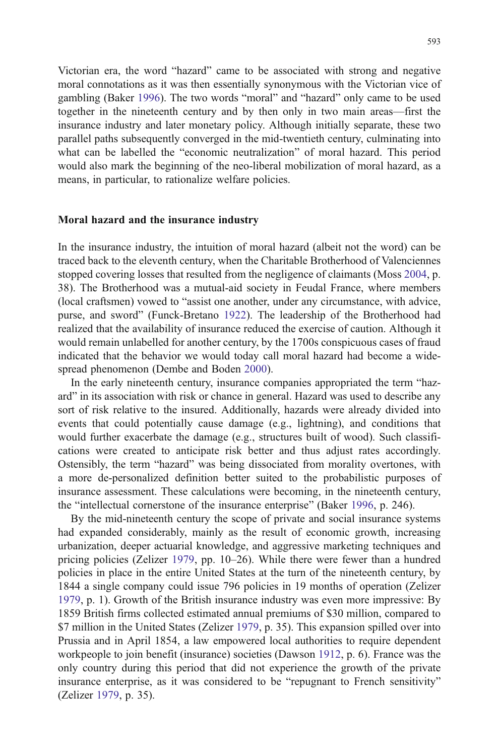Victorian era, the word "hazard" came to be associated with strong and negative moral connotations as it was then essentially synonymous with the Victorian vice of gambling (Baker 1996). The two words "moral" and "hazard" only came to be used together in the nineteenth century and by then only in two main areas—first the insurance industry and later monetary policy. Although initially separate, these two parallel paths subsequently converged in the mid-twentieth century, culminating into what can be labelled the "economic neutralization" of moral hazard. This period would also mark the beginning of the neo-liberal mobilization of moral hazard, as a means, in particular, to rationalize welfare policies.

#### Moral hazard and the insurance industry

In the insurance industry, the intuition of moral hazard (albeit not the word) can be traced back to the eleventh century, when the Charitable Brotherhood of Valenciennes stopped covering losses that resulted from the negligence of claimants (Moss 2004, p. 38). The Brotherhood was a mutual-aid society in Feudal France, where members (local craftsmen) vowed to "assist one another, under any circumstance, with advice, purse, and sword" (Funck-Bretano 1922). The leadership of the Brotherhood had realized that the availability of insurance reduced the exercise of caution. Although it would remain unlabelled for another century, by the 1700s conspicuous cases of fraud indicated that the behavior we would today call moral hazard had become a widespread phenomenon (Dembe and Boden 2000).

In the early nineteenth century, insurance companies appropriated the term "hazard" in its association with risk or chance in general. Hazard was used to describe any sort of risk relative to the insured. Additionally, hazards were already divided into events that could potentially cause damage (e.g., lightning), and conditions that would further exacerbate the damage (e.g., structures built of wood). Such classifications were created to anticipate risk better and thus adjust rates accordingly. Ostensibly, the term "hazard" was being dissociated from morality overtones, with a more de-personalized definition better suited to the probabilistic purposes of insurance assessment. These calculations were becoming, in the nineteenth century, the "intellectual cornerstone of the insurance enterprise" (Baker 1996, p. 246).

By the mid-nineteenth century the scope of private and social insurance systems had expanded considerably, mainly as the result of economic growth, increasing urbanization, deeper actuarial knowledge, and aggressive marketing techniques and pricing policies (Zelizer 1979, pp. 10–26). While there were fewer than a hundred policies in place in the entire United States at the turn of the nineteenth century, by 1844 a single company could issue 796 policies in 19 months of operation (Zelizer 1979, p. 1). Growth of the British insurance industry was even more impressive: By 1859 British firms collected estimated annual premiums of \$30 million, compared to \$7 million in the United States (Zelizer 1979, p. 35). This expansion spilled over into Prussia and in April 1854, a law empowered local authorities to require dependent workpeople to join benefit (insurance) societies (Dawson 1912, p. 6). France was the only country during this period that did not experience the growth of the private insurance enterprise, as it was considered to be "repugnant to French sensitivity" (Zelizer 1979, p. 35).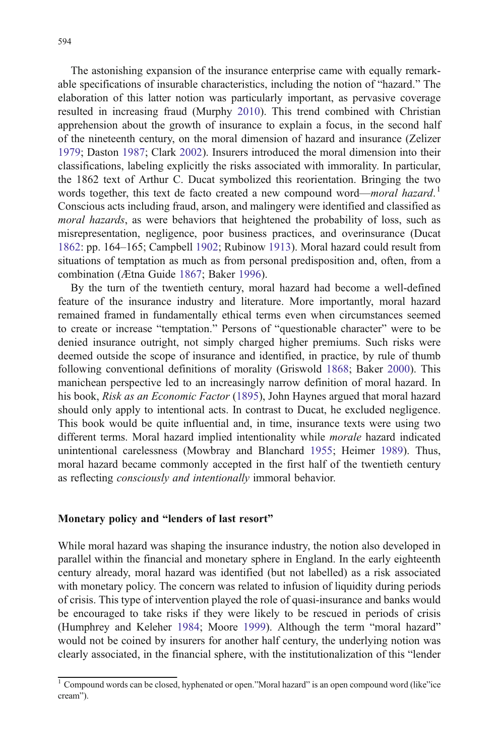The astonishing expansion of the insurance enterprise came with equally remarkable specifications of insurable characteristics, including the notion of "hazard." The elaboration of this latter notion was particularly important, as pervasive coverage resulted in increasing fraud (Murphy 2010). This trend combined with Christian apprehension about the growth of insurance to explain a focus, in the second half of the nineteenth century, on the moral dimension of hazard and insurance (Zelizer 1979; Daston 1987; Clark 2002). Insurers introduced the moral dimension into their classifications, labeling explicitly the risks associated with immorality. In particular, the 1862 text of Arthur C. Ducat symbolized this reorientation. Bringing the two words together, this text de facto created a new compound word—moral hazard.<sup>1</sup> Conscious acts including fraud, arson, and malingery were identified and classified as moral hazards, as were behaviors that heightened the probability of loss, such as misrepresentation, negligence, poor business practices, and overinsurance (Ducat 1862: pp. 164–165; Campbell 1902; Rubinow 1913). Moral hazard could result from situations of temptation as much as from personal predisposition and, often, from a combination (Ætna Guide 1867; Baker 1996).

By the turn of the twentieth century, moral hazard had become a well-defined feature of the insurance industry and literature. More importantly, moral hazard remained framed in fundamentally ethical terms even when circumstances seemed to create or increase "temptation." Persons of "questionable character" were to be denied insurance outright, not simply charged higher premiums. Such risks were deemed outside the scope of insurance and identified, in practice, by rule of thumb following conventional definitions of morality (Griswold 1868; Baker 2000). This manichean perspective led to an increasingly narrow definition of moral hazard. In his book, Risk as an Economic Factor (1895), John Haynes argued that moral hazard should only apply to intentional acts. In contrast to Ducat, he excluded negligence. This book would be quite influential and, in time, insurance texts were using two different terms. Moral hazard implied intentionality while morale hazard indicated unintentional carelessness (Mowbray and Blanchard 1955; Heimer 1989). Thus, moral hazard became commonly accepted in the first half of the twentieth century as reflecting consciously and intentionally immoral behavior.

#### Monetary policy and "lenders of last resort"

While moral hazard was shaping the insurance industry, the notion also developed in parallel within the financial and monetary sphere in England. In the early eighteenth century already, moral hazard was identified (but not labelled) as a risk associated with monetary policy. The concern was related to infusion of liquidity during periods of crisis. This type of intervention played the role of quasi-insurance and banks would be encouraged to take risks if they were likely to be rescued in periods of crisis (Humphrey and Keleher 1984; Moore 1999). Although the term "moral hazard" would not be coined by insurers for another half century, the underlying notion was clearly associated, in the financial sphere, with the institutionalization of this "lender

 $1$  Compound words can be closed, hyphenated or open."Moral hazard" is an open compound word (like"ice cream").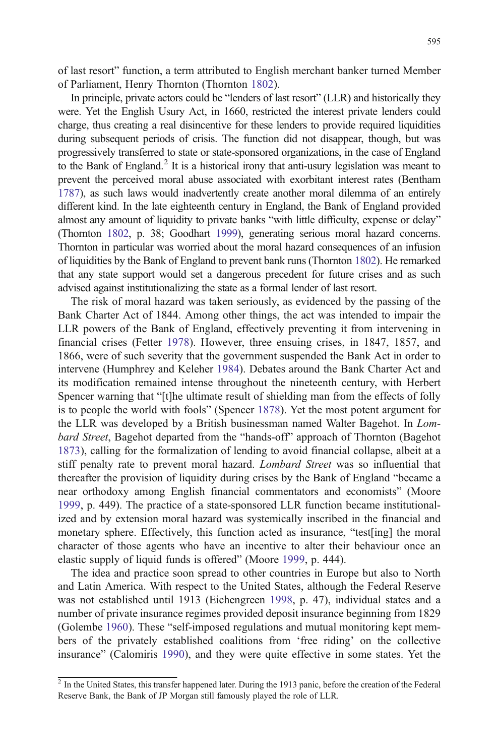of last resort" function, a term attributed to English merchant banker turned Member of Parliament, Henry Thornton (Thornton 1802).

In principle, private actors could be "lenders of last resort" (LLR) and historically they were. Yet the English Usury Act, in 1660, restricted the interest private lenders could charge, thus creating a real disincentive for these lenders to provide required liquidities during subsequent periods of crisis. The function did not disappear, though, but was progressively transferred to state or state-sponsored organizations, in the case of England to the Bank of England.<sup>2</sup> It is a historical irony that anti-usury legislation was meant to prevent the perceived moral abuse associated with exorbitant interest rates (Bentham 1787), as such laws would inadvertently create another moral dilemma of an entirely different kind. In the late eighteenth century in England, the Bank of England provided almost any amount of liquidity to private banks "with little difficulty, expense or delay" (Thornton 1802, p. 38; Goodhart 1999), generating serious moral hazard concerns. Thornton in particular was worried about the moral hazard consequences of an infusion of liquidities by the Bank of England to prevent bank runs (Thornton 1802). He remarked that any state support would set a dangerous precedent for future crises and as such advised against institutionalizing the state as a formal lender of last resort.

The risk of moral hazard was taken seriously, as evidenced by the passing of the Bank Charter Act of 1844. Among other things, the act was intended to impair the LLR powers of the Bank of England, effectively preventing it from intervening in financial crises (Fetter 1978). However, three ensuing crises, in 1847, 1857, and 1866, were of such severity that the government suspended the Bank Act in order to intervene (Humphrey and Keleher 1984). Debates around the Bank Charter Act and its modification remained intense throughout the nineteenth century, with Herbert Spencer warning that "[t]he ultimate result of shielding man from the effects of folly is to people the world with fools" (Spencer 1878). Yet the most potent argument for the LLR was developed by a British businessman named Walter Bagehot. In Lombard Street, Bagehot departed from the "hands-off" approach of Thornton (Bagehot 1873), calling for the formalization of lending to avoid financial collapse, albeit at a stiff penalty rate to prevent moral hazard. Lombard Street was so influential that thereafter the provision of liquidity during crises by the Bank of England "became a near orthodoxy among English financial commentators and economists" (Moore 1999, p. 449). The practice of a state-sponsored LLR function became institutionalized and by extension moral hazard was systemically inscribed in the financial and monetary sphere. Effectively, this function acted as insurance, "test[ing] the moral character of those agents who have an incentive to alter their behaviour once an elastic supply of liquid funds is offered" (Moore 1999, p. 444).

The idea and practice soon spread to other countries in Europe but also to North and Latin America. With respect to the United States, although the Federal Reserve was not established until 1913 (Eichengreen 1998, p. 47), individual states and a number of private insurance regimes provided deposit insurance beginning from 1829 (Golembe 1960). These "self-imposed regulations and mutual monitoring kept members of the privately established coalitions from 'free riding' on the collective insurance" (Calomiris 1990), and they were quite effective in some states. Yet the

<sup>&</sup>lt;sup>2</sup> In the United States, this transfer happened later. During the 1913 panic, before the creation of the Federal Reserve Bank, the Bank of JP Morgan still famously played the role of LLR.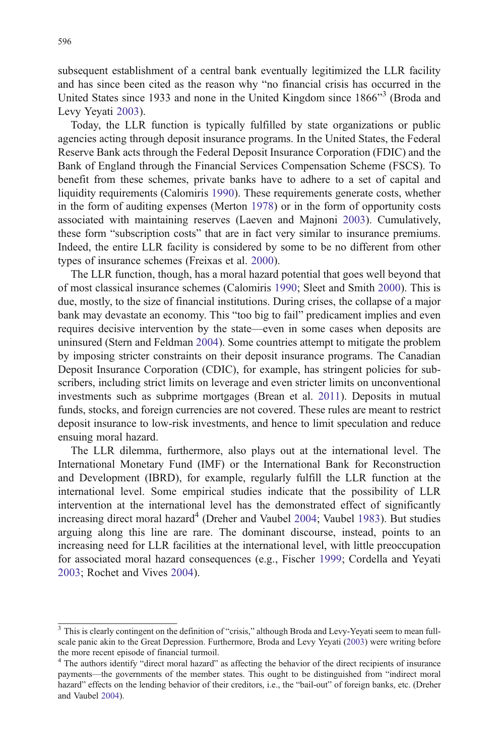subsequent establishment of a central bank eventually legitimized the LLR facility and has since been cited as the reason why "no financial crisis has occurred in the United States since 1933 and none in the United Kingdom since 1866"<sup>3</sup> (Broda and Levy Yeyati 2003).

Today, the LLR function is typically fulfilled by state organizations or public agencies acting through deposit insurance programs. In the United States, the Federal Reserve Bank acts through the Federal Deposit Insurance Corporation (FDIC) and the Bank of England through the Financial Services Compensation Scheme (FSCS). To benefit from these schemes, private banks have to adhere to a set of capital and liquidity requirements (Calomiris 1990). These requirements generate costs, whether in the form of auditing expenses (Merton 1978) or in the form of opportunity costs associated with maintaining reserves (Laeven and Majnoni 2003). Cumulatively, these form "subscription costs" that are in fact very similar to insurance premiums. Indeed, the entire LLR facility is considered by some to be no different from other types of insurance schemes (Freixas et al. 2000).

The LLR function, though, has a moral hazard potential that goes well beyond that of most classical insurance schemes (Calomiris 1990; Sleet and Smith 2000). This is due, mostly, to the size of financial institutions. During crises, the collapse of a major bank may devastate an economy. This "too big to fail" predicament implies and even requires decisive intervention by the state—even in some cases when deposits are uninsured (Stern and Feldman 2004). Some countries attempt to mitigate the problem by imposing stricter constraints on their deposit insurance programs. The Canadian Deposit Insurance Corporation (CDIC), for example, has stringent policies for subscribers, including strict limits on leverage and even stricter limits on unconventional investments such as subprime mortgages (Brean et al. 2011). Deposits in mutual funds, stocks, and foreign currencies are not covered. These rules are meant to restrict deposit insurance to low-risk investments, and hence to limit speculation and reduce ensuing moral hazard.

The LLR dilemma, furthermore, also plays out at the international level. The International Monetary Fund (IMF) or the International Bank for Reconstruction and Development (IBRD), for example, regularly fulfill the LLR function at the international level. Some empirical studies indicate that the possibility of LLR intervention at the international level has the demonstrated effect of significantly increasing direct moral hazard<sup>4</sup> (Dreher and Vaubel 2004; Vaubel 1983). But studies arguing along this line are rare. The dominant discourse, instead, points to an increasing need for LLR facilities at the international level, with little preoccupation for associated moral hazard consequences (e.g., Fischer 1999; Cordella and Yeyati 2003; Rochet and Vives 2004).

<sup>&</sup>lt;sup>3</sup> This is clearly contingent on the definition of "crisis," although Broda and Levy-Yeyati seem to mean fullscale panic akin to the Great Depression. Furthermore, Broda and Levy Yeyati (2003) were writing before the more recent episode of financial turmoil.

<sup>&</sup>lt;sup>4</sup> The authors identify "direct moral hazard" as affecting the behavior of the direct recipients of insurance payments—the governments of the member states. This ought to be distinguished from "indirect moral hazard" effects on the lending behavior of their creditors, i.e., the "bail-out" of foreign banks, etc. (Dreher and Vaubel 2004).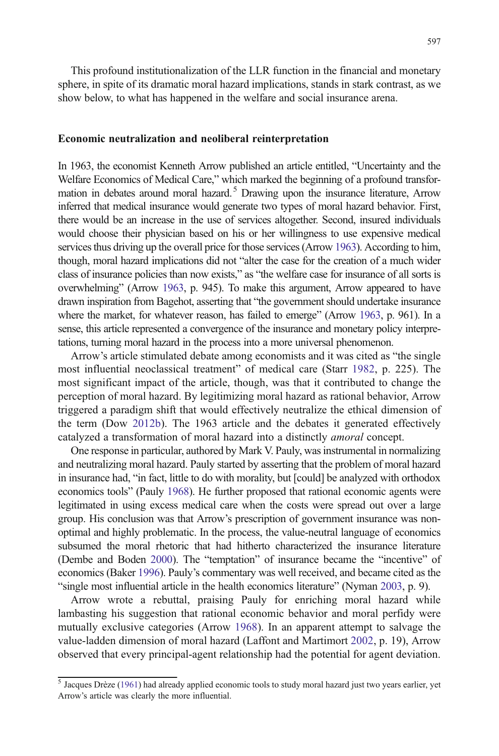This profound institutionalization of the LLR function in the financial and monetary sphere, in spite of its dramatic moral hazard implications, stands in stark contrast, as we show below, to what has happened in the welfare and social insurance arena.

#### Economic neutralization and neoliberal reinterpretation

In 1963, the economist Kenneth Arrow published an article entitled, "Uncertainty and the Welfare Economics of Medical Care," which marked the beginning of a profound transformation in debates around moral hazard.<sup>5</sup> Drawing upon the insurance literature, Arrow inferred that medical insurance would generate two types of moral hazard behavior. First, there would be an increase in the use of services altogether. Second, insured individuals would choose their physician based on his or her willingness to use expensive medical services thus driving up the overall price for those services (Arrow 1963). According to him, though, moral hazard implications did not "alter the case for the creation of a much wider class of insurance policies than now exists," as "the welfare case for insurance of all sorts is overwhelming" (Arrow 1963, p. 945). To make this argument, Arrow appeared to have drawn inspiration from Bagehot, asserting that "the government should undertake insurance where the market, for whatever reason, has failed to emerge" (Arrow 1963, p. 961). In a sense, this article represented a convergence of the insurance and monetary policy interpretations, turning moral hazard in the process into a more universal phenomenon.

Arrow's article stimulated debate among economists and it was cited as "the single most influential neoclassical treatment" of medical care (Starr 1982, p. 225). The most significant impact of the article, though, was that it contributed to change the perception of moral hazard. By legitimizing moral hazard as rational behavior, Arrow triggered a paradigm shift that would effectively neutralize the ethical dimension of the term (Dow 2012b). The 1963 article and the debates it generated effectively catalyzed a transformation of moral hazard into a distinctly amoral concept.

One response in particular, authored by Mark V. Pauly, was instrumental in normalizing and neutralizing moral hazard. Pauly started by asserting that the problem of moral hazard in insurance had, "in fact, little to do with morality, but [could] be analyzed with orthodox economics tools" (Pauly 1968). He further proposed that rational economic agents were legitimated in using excess medical care when the costs were spread out over a large group. His conclusion was that Arrow's prescription of government insurance was nonoptimal and highly problematic. In the process, the value-neutral language of economics subsumed the moral rhetoric that had hitherto characterized the insurance literature (Dembe and Boden 2000). The "temptation" of insurance became the "incentive" of economics (Baker 1996). Pauly's commentary was well received, and became cited as the "single most influential article in the health economics literature" (Nyman 2003, p. 9).

Arrow wrote a rebuttal, praising Pauly for enriching moral hazard while lambasting his suggestion that rational economic behavior and moral perfidy were mutually exclusive categories (Arrow 1968). In an apparent attempt to salvage the value-ladden dimension of moral hazard (Laffont and Martimort 2002, p. 19), Arrow observed that every principal-agent relationship had the potential for agent deviation.

<sup>&</sup>lt;sup>5</sup> Jacques Drèze (1961) had already applied economic tools to study moral hazard just two years earlier, yet Arrow's article was clearly the more influential.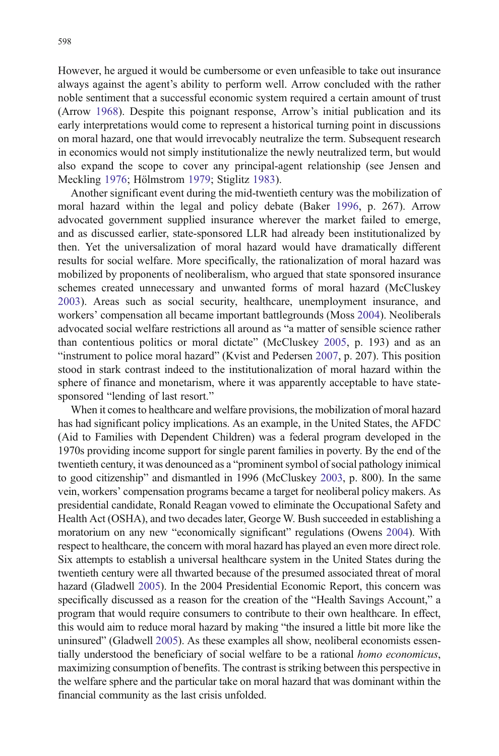However, he argued it would be cumbersome or even unfeasible to take out insurance always against the agent's ability to perform well. Arrow concluded with the rather noble sentiment that a successful economic system required a certain amount of trust (Arrow 1968). Despite this poignant response, Arrow's initial publication and its early interpretations would come to represent a historical turning point in discussions on moral hazard, one that would irrevocably neutralize the term. Subsequent research in economics would not simply institutionalize the newly neutralized term, but would also expand the scope to cover any principal-agent relationship (see Jensen and Meckling 1976; Hölmstrom 1979; Stiglitz 1983).

Another significant event during the mid-twentieth century was the mobilization of moral hazard within the legal and policy debate (Baker 1996, p. 267). Arrow advocated government supplied insurance wherever the market failed to emerge, and as discussed earlier, state-sponsored LLR had already been institutionalized by then. Yet the universalization of moral hazard would have dramatically different results for social welfare. More specifically, the rationalization of moral hazard was mobilized by proponents of neoliberalism, who argued that state sponsored insurance schemes created unnecessary and unwanted forms of moral hazard (McCluskey 2003). Areas such as social security, healthcare, unemployment insurance, and workers' compensation all became important battlegrounds (Moss 2004). Neoliberals advocated social welfare restrictions all around as "a matter of sensible science rather than contentious politics or moral dictate" (McCluskey 2005, p. 193) and as an "instrument to police moral hazard" (Kvist and Pedersen 2007, p. 207). This position stood in stark contrast indeed to the institutionalization of moral hazard within the sphere of finance and monetarism, where it was apparently acceptable to have statesponsored "lending of last resort."

When it comes to healthcare and welfare provisions, the mobilization of moral hazard has had significant policy implications. As an example, in the United States, the AFDC (Aid to Families with Dependent Children) was a federal program developed in the 1970s providing income support for single parent families in poverty. By the end of the twentieth century, it was denounced as a "prominent symbol of social pathology inimical to good citizenship" and dismantled in 1996 (McCluskey 2003, p. 800). In the same vein, workers' compensation programs became a target for neoliberal policy makers. As presidential candidate, Ronald Reagan vowed to eliminate the Occupational Safety and Health Act (OSHA), and two decades later, George W. Bush succeeded in establishing a moratorium on any new "economically significant" regulations (Owens 2004). With respect to healthcare, the concern with moral hazard has played an even more direct role. Six attempts to establish a universal healthcare system in the United States during the twentieth century were all thwarted because of the presumed associated threat of moral hazard (Gladwell 2005). In the 2004 Presidential Economic Report, this concern was specifically discussed as a reason for the creation of the "Health Savings Account," a program that would require consumers to contribute to their own healthcare. In effect, this would aim to reduce moral hazard by making "the insured a little bit more like the uninsured" (Gladwell 2005). As these examples all show, neoliberal economists essentially understood the beneficiary of social welfare to be a rational homo economicus, maximizing consumption of benefits. The contrast is striking between this perspective in the welfare sphere and the particular take on moral hazard that was dominant within the financial community as the last crisis unfolded.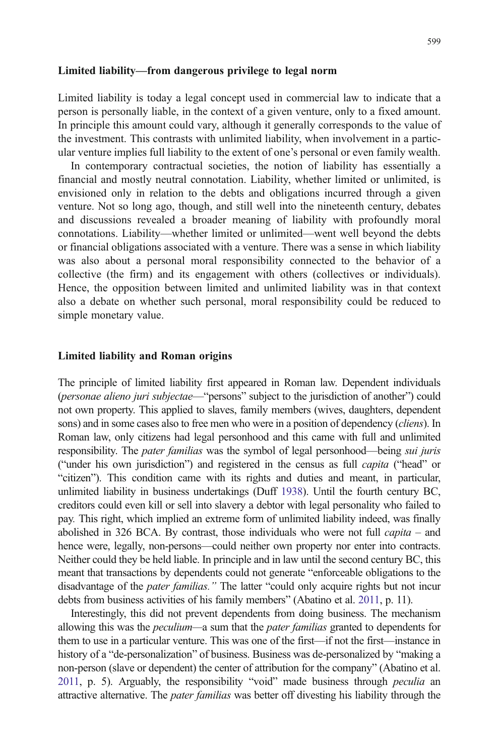#### Limited liability—from dangerous privilege to legal norm

Limited liability is today a legal concept used in commercial law to indicate that a person is personally liable, in the context of a given venture, only to a fixed amount. In principle this amount could vary, although it generally corresponds to the value of the investment. This contrasts with unlimited liability, when involvement in a particular venture implies full liability to the extent of one's personal or even family wealth.

In contemporary contractual societies, the notion of liability has essentially a financial and mostly neutral connotation. Liability, whether limited or unlimited, is envisioned only in relation to the debts and obligations incurred through a given venture. Not so long ago, though, and still well into the nineteenth century, debates and discussions revealed a broader meaning of liability with profoundly moral connotations. Liability—whether limited or unlimited—went well beyond the debts or financial obligations associated with a venture. There was a sense in which liability was also about a personal moral responsibility connected to the behavior of a collective (the firm) and its engagement with others (collectives or individuals). Hence, the opposition between limited and unlimited liability was in that context also a debate on whether such personal, moral responsibility could be reduced to simple monetary value.

#### Limited liability and Roman origins

The principle of limited liability first appeared in Roman law. Dependent individuals (personae alieno juri subjectae—"persons" subject to the jurisdiction of another") could not own property. This applied to slaves, family members (wives, daughters, dependent sons) and in some cases also to free men who were in a position of dependency (*cliens*). In Roman law, only citizens had legal personhood and this came with full and unlimited responsibility. The *pater familias* was the symbol of legal personhood—being *sui juris* ("under his own jurisdiction") and registered in the census as full capita ("head" or "citizen"). This condition came with its rights and duties and meant, in particular, unlimited liability in business undertakings (Duff 1938). Until the fourth century BC, creditors could even kill or sell into slavery a debtor with legal personality who failed to pay. This right, which implied an extreme form of unlimited liability indeed, was finally abolished in 326 BCA. By contrast, those individuals who were not full *capita* – and hence were, legally, non-persons—could neither own property nor enter into contracts. Neither could they be held liable. In principle and in law until the second century BC, this meant that transactions by dependents could not generate "enforceable obligations to the disadvantage of the *pater familias*." The latter "could only acquire rights but not incur debts from business activities of his family members" (Abatino et al. 2011, p. 11).

Interestingly, this did not prevent dependents from doing business. The mechanism allowing this was the *peculium*—a sum that the *pater familias* granted to dependents for them to use in a particular venture. This was one of the first—if not the first—instance in history of a "de-personalization" of business. Business was de-personalized by "making a non-person (slave or dependent) the center of attribution for the company" (Abatino et al. 2011, p. 5). Arguably, the responsibility "void" made business through peculia an attractive alternative. The *pater familias* was better off divesting his liability through the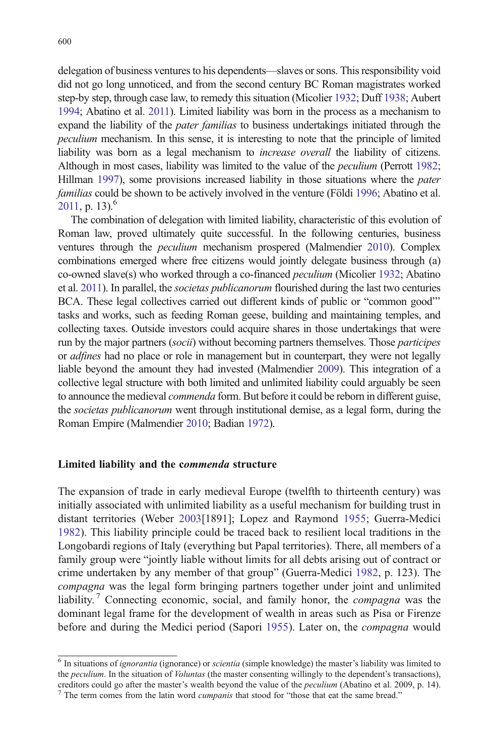delegation of business ventures to his dependents—slaves or sons. This responsibility void did not go long unnoticed, and from the second century BC Roman magistrates worked step-by step, through case law, to remedy this situation (Micolier 1932; Duff 1938; Aubert 1994; Abatino et al. 2011). Limited liability was born in the process as a mechanism to expand the liability of the *pater familias* to business undertakings initiated through the peculium mechanism. In this sense, it is interesting to note that the principle of limited liability was born as a legal mechanism to increase overall the liability of citizens. Although in most cases, liability was limited to the value of the peculium (Perrott 1982; Hillman 1997), some provisions increased liability in those situations where the *pater* familias could be shown to be actively involved in the venture (Földi 1996; Abatino et al. 2011, p. 13). $^{6}$ 

The combination of delegation with limited liability, characteristic of this evolution of Roman law, proved ultimately quite successful. In the following centuries, business ventures through the peculium mechanism prospered (Malmendier 2010). Complex combinations emerged where free citizens would jointly delegate business through (a) co-owned slave(s) who worked through a co-financed peculium (Micolier 1932; Abatino et al. 2011). In parallel, the societas publicanorum flourished during the last two centuries BCA. These legal collectives carried out different kinds of public or "common good"' tasks and works, such as feeding Roman geese, building and maintaining temples, and collecting taxes. Outside investors could acquire shares in those undertakings that were run by the major partners (*socii*) without becoming partners themselves. Those *participes* or adfines had no place or role in management but in counterpart, they were not legally liable beyond the amount they had invested (Malmendier 2009). This integration of a collective legal structure with both limited and unlimited liability could arguably be seen to announce the medieval *commenda* form. But before it could be reborn in different guise, the *societas publicanorum* went through institutional demise, as a legal form, during the Roman Empire (Malmendier 2010; Badian 1972).

#### Limited liability and the commenda structure

The expansion of trade in early medieval Europe (twelfth to thirteenth century) was initially associated with unlimited liability as a useful mechanism for building trust in distant territories (Weber 2003[1891]; Lopez and Raymond 1955; Guerra-Medici 1982). This liability principle could be traced back to resilient local traditions in the Longobardi regions of Italy (everything but Papal territories). There, all members of a family group were "jointly liable without limits for all debts arising out of contract or crime undertaken by any member of that group" (Guerra-Medici 1982, p. 123). The compagna was the legal form bringing partners together under joint and unlimited liability.<sup>7</sup> Connecting economic, social, and family honor, the *compagna* was the dominant legal frame for the development of wealth in areas such as Pisa or Firenze before and during the Medici period (Sapori 1955). Later on, the compagna would

 $6$  In situations of ignorantia (ignorance) or scientia (simple knowledge) the master's liability was limited to the *peculium*. In the situation of *Voluntas* (the master consenting willingly to the dependent's transactions), creditors could go after the master's wealth beyond the value of the *peculium* (Abatino et al. 2009, p. 14). <sup>7</sup> The term comes from the latin word *cumpanis* that stood for "those that eat the same bread."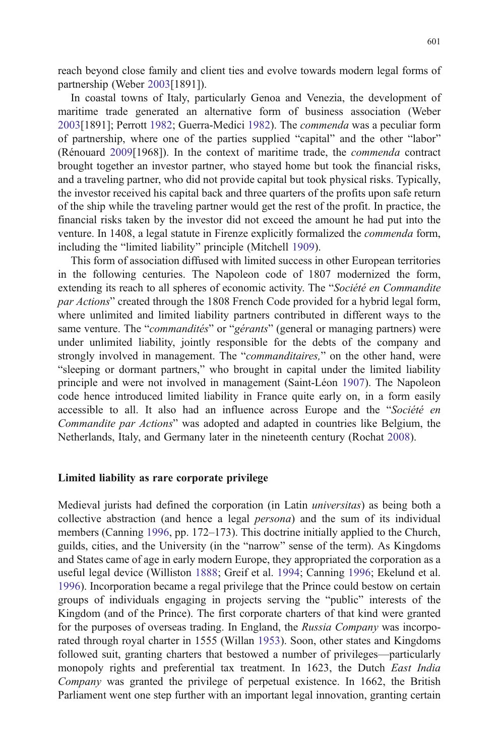reach beyond close family and client ties and evolve towards modern legal forms of partnership (Weber 2003[1891]).

In coastal towns of Italy, particularly Genoa and Venezia, the development of maritime trade generated an alternative form of business association (Weber 2003[1891]; Perrott 1982; Guerra-Medici 1982). The commenda was a peculiar form of partnership, where one of the parties supplied "capital" and the other "labor" (Rénouard 2009[1968]). In the context of maritime trade, the commenda contract brought together an investor partner, who stayed home but took the financial risks, and a traveling partner, who did not provide capital but took physical risks. Typically, the investor received his capital back and three quarters of the profits upon safe return of the ship while the traveling partner would get the rest of the profit. In practice, the financial risks taken by the investor did not exceed the amount he had put into the venture. In 1408, a legal statute in Firenze explicitly formalized the commenda form, including the "limited liability" principle (Mitchell 1909).

This form of association diffused with limited success in other European territories in the following centuries. The Napoleon code of 1807 modernized the form, extending its reach to all spheres of economic activity. The "Société en Commandite" par Actions" created through the 1808 French Code provided for a hybrid legal form, where unlimited and limited liability partners contributed in different ways to the same venture. The "*commandités*" or "*gérants*" (general or managing partners) were under unlimited liability, jointly responsible for the debts of the company and strongly involved in management. The "*commanditaires*," on the other hand, were "sleeping or dormant partners," who brought in capital under the limited liability principle and were not involved in management (Saint-Léon 1907). The Napoleon code hence introduced limited liability in France quite early on, in a form easily accessible to all. It also had an influence across Europe and the "Société en Commandite par Actions" was adopted and adapted in countries like Belgium, the Netherlands, Italy, and Germany later in the nineteenth century (Rochat 2008).

#### Limited liability as rare corporate privilege

Medieval jurists had defined the corporation (in Latin universitas) as being both a collective abstraction (and hence a legal persona) and the sum of its individual members (Canning 1996, pp. 172–173). This doctrine initially applied to the Church, guilds, cities, and the University (in the "narrow" sense of the term). As Kingdoms and States came of age in early modern Europe, they appropriated the corporation as a useful legal device (Williston 1888; Greif et al. 1994; Canning 1996; Ekelund et al. 1996). Incorporation became a regal privilege that the Prince could bestow on certain groups of individuals engaging in projects serving the "public" interests of the Kingdom (and of the Prince). The first corporate charters of that kind were granted for the purposes of overseas trading. In England, the Russia Company was incorporated through royal charter in 1555 (Willan 1953). Soon, other states and Kingdoms followed suit, granting charters that bestowed a number of privileges—particularly monopoly rights and preferential tax treatment. In 1623, the Dutch East India Company was granted the privilege of perpetual existence. In 1662, the British Parliament went one step further with an important legal innovation, granting certain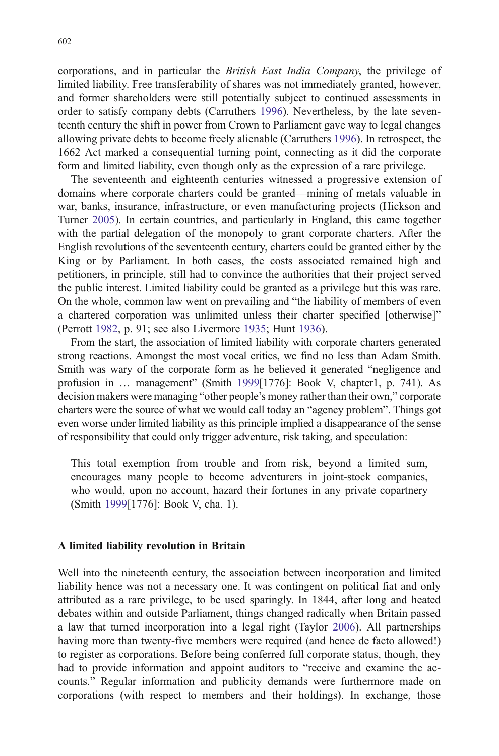corporations, and in particular the British East India Company, the privilege of limited liability. Free transferability of shares was not immediately granted, however, and former shareholders were still potentially subject to continued assessments in order to satisfy company debts (Carruthers 1996). Nevertheless, by the late seventeenth century the shift in power from Crown to Parliament gave way to legal changes allowing private debts to become freely alienable (Carruthers 1996). In retrospect, the 1662 Act marked a consequential turning point, connecting as it did the corporate form and limited liability, even though only as the expression of a rare privilege.

The seventeenth and eighteenth centuries witnessed a progressive extension of domains where corporate charters could be granted—mining of metals valuable in war, banks, insurance, infrastructure, or even manufacturing projects (Hickson and Turner 2005). In certain countries, and particularly in England, this came together with the partial delegation of the monopoly to grant corporate charters. After the English revolutions of the seventeenth century, charters could be granted either by the King or by Parliament. In both cases, the costs associated remained high and petitioners, in principle, still had to convince the authorities that their project served the public interest. Limited liability could be granted as a privilege but this was rare. On the whole, common law went on prevailing and "the liability of members of even a chartered corporation was unlimited unless their charter specified [otherwise]" (Perrott 1982, p. 91; see also Livermore 1935; Hunt 1936).

From the start, the association of limited liability with corporate charters generated strong reactions. Amongst the most vocal critics, we find no less than Adam Smith. Smith was wary of the corporate form as he believed it generated "negligence and profusion in … management" (Smith 1999[1776]: Book V, chapter1, p. 741). As decision makers were managing "other people's money rather than their own," corporate charters were the source of what we would call today an "agency problem". Things got even worse under limited liability as this principle implied a disappearance of the sense of responsibility that could only trigger adventure, risk taking, and speculation:

This total exemption from trouble and from risk, beyond a limited sum, encourages many people to become adventurers in joint-stock companies, who would, upon no account, hazard their fortunes in any private copartnery (Smith 1999[1776]: Book V, cha. 1).

#### A limited liability revolution in Britain

Well into the nineteenth century, the association between incorporation and limited liability hence was not a necessary one. It was contingent on political fiat and only attributed as a rare privilege, to be used sparingly. In 1844, after long and heated debates within and outside Parliament, things changed radically when Britain passed a law that turned incorporation into a legal right (Taylor 2006). All partnerships having more than twenty-five members were required (and hence de facto allowed!) to register as corporations. Before being conferred full corporate status, though, they had to provide information and appoint auditors to "receive and examine the accounts." Regular information and publicity demands were furthermore made on corporations (with respect to members and their holdings). In exchange, those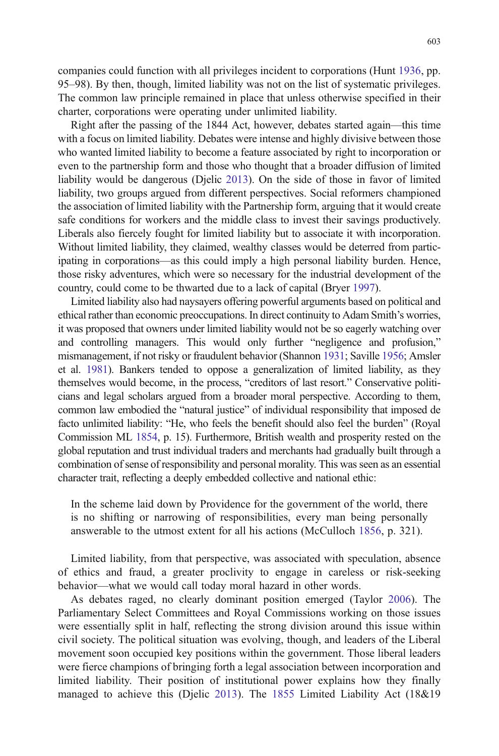companies could function with all privileges incident to corporations (Hunt 1936, pp. 95–98). By then, though, limited liability was not on the list of systematic privileges. The common law principle remained in place that unless otherwise specified in their charter, corporations were operating under unlimited liability.

Right after the passing of the 1844 Act, however, debates started again—this time with a focus on limited liability. Debates were intense and highly divisive between those who wanted limited liability to become a feature associated by right to incorporation or even to the partnership form and those who thought that a broader diffusion of limited liability would be dangerous (Djelic 2013). On the side of those in favor of limited liability, two groups argued from different perspectives. Social reformers championed the association of limited liability with the Partnership form, arguing that it would create safe conditions for workers and the middle class to invest their savings productively. Liberals also fiercely fought for limited liability but to associate it with incorporation. Without limited liability, they claimed, wealthy classes would be deterred from participating in corporations—as this could imply a high personal liability burden. Hence, those risky adventures, which were so necessary for the industrial development of the country, could come to be thwarted due to a lack of capital (Bryer 1997).

Limited liability also had naysayers offering powerful arguments based on political and ethical rather than economic preoccupations. In direct continuity to Adam Smith's worries, it was proposed that owners under limited liability would not be so eagerly watching over and controlling managers. This would only further "negligence and profusion," mismanagement, if not risky or fraudulent behavior (Shannon 1931; Saville 1956; Amsler et al. 1981). Bankers tended to oppose a generalization of limited liability, as they themselves would become, in the process, "creditors of last resort." Conservative politicians and legal scholars argued from a broader moral perspective. According to them, common law embodied the "natural justice" of individual responsibility that imposed de facto unlimited liability: "He, who feels the benefit should also feel the burden" (Royal Commission ML 1854, p. 15). Furthermore, British wealth and prosperity rested on the global reputation and trust individual traders and merchants had gradually built through a combination of sense of responsibility and personal morality. This was seen as an essential character trait, reflecting a deeply embedded collective and national ethic:

In the scheme laid down by Providence for the government of the world, there is no shifting or narrowing of responsibilities, every man being personally answerable to the utmost extent for all his actions (McCulloch 1856, p. 321).

Limited liability, from that perspective, was associated with speculation, absence of ethics and fraud, a greater proclivity to engage in careless or risk-seeking behavior—what we would call today moral hazard in other words.

As debates raged, no clearly dominant position emerged (Taylor 2006). The Parliamentary Select Committees and Royal Commissions working on those issues were essentially split in half, reflecting the strong division around this issue within civil society. The political situation was evolving, though, and leaders of the Liberal movement soon occupied key positions within the government. Those liberal leaders were fierce champions of bringing forth a legal association between incorporation and limited liability. Their position of institutional power explains how they finally managed to achieve this (Djelic 2013). The 1855 Limited Liability Act (18&19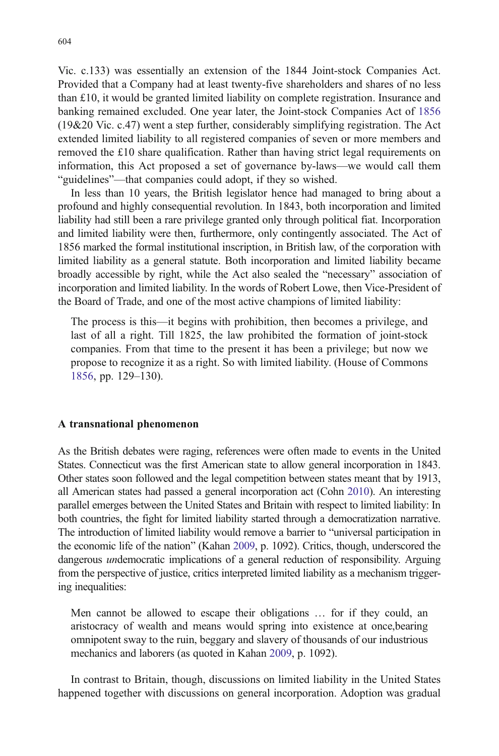Vic. c.133) was essentially an extension of the 1844 Joint-stock Companies Act. Provided that a Company had at least twenty-five shareholders and shares of no less than £10, it would be granted limited liability on complete registration. Insurance and banking remained excluded. One year later, the Joint-stock Companies Act of 1856 (19&20 Vic. c.47) went a step further, considerably simplifying registration. The Act extended limited liability to all registered companies of seven or more members and removed the £10 share qualification. Rather than having strict legal requirements on information, this Act proposed a set of governance by-laws—we would call them "guidelines"—that companies could adopt, if they so wished.

In less than 10 years, the British legislator hence had managed to bring about a profound and highly consequential revolution. In 1843, both incorporation and limited liability had still been a rare privilege granted only through political fiat. Incorporation and limited liability were then, furthermore, only contingently associated. The Act of 1856 marked the formal institutional inscription, in British law, of the corporation with limited liability as a general statute. Both incorporation and limited liability became broadly accessible by right, while the Act also sealed the "necessary" association of incorporation and limited liability. In the words of Robert Lowe, then Vice-President of the Board of Trade, and one of the most active champions of limited liability:

The process is this—it begins with prohibition, then becomes a privilege, and last of all a right. Till 1825, the law prohibited the formation of joint-stock companies. From that time to the present it has been a privilege; but now we propose to recognize it as a right. So with limited liability. (House of Commons 1856, pp. 129–130).

#### A transnational phenomenon

As the British debates were raging, references were often made to events in the United States. Connecticut was the first American state to allow general incorporation in 1843. Other states soon followed and the legal competition between states meant that by 1913, all American states had passed a general incorporation act (Cohn 2010). An interesting parallel emerges between the United States and Britain with respect to limited liability: In both countries, the fight for limited liability started through a democratization narrative. The introduction of limited liability would remove a barrier to "universal participation in the economic life of the nation" (Kahan 2009, p. 1092). Critics, though, underscored the dangerous undemocratic implications of a general reduction of responsibility. Arguing from the perspective of justice, critics interpreted limited liability as a mechanism triggering inequalities:

Men cannot be allowed to escape their obligations … for if they could, an aristocracy of wealth and means would spring into existence at once,bearing omnipotent sway to the ruin, beggary and slavery of thousands of our industrious mechanics and laborers (as quoted in Kahan 2009, p. 1092).

In contrast to Britain, though, discussions on limited liability in the United States happened together with discussions on general incorporation. Adoption was gradual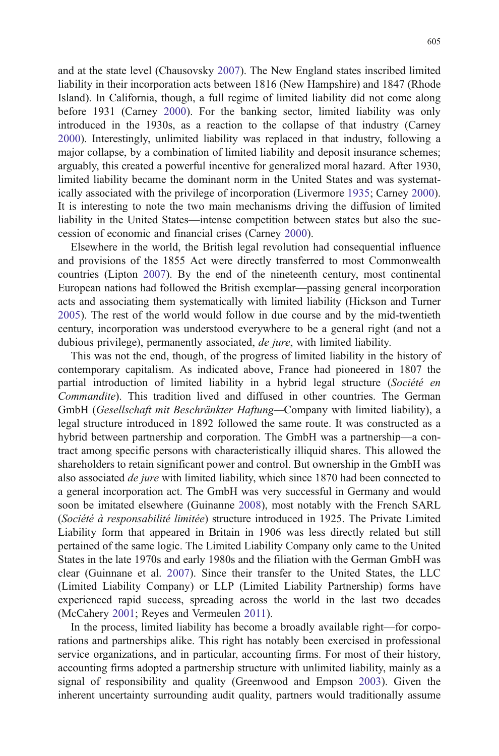and at the state level (Chausovsky 2007). The New England states inscribed limited liability in their incorporation acts between 1816 (New Hampshire) and 1847 (Rhode Island). In California, though, a full regime of limited liability did not come along before 1931 (Carney 2000). For the banking sector, limited liability was only introduced in the 1930s, as a reaction to the collapse of that industry (Carney 2000). Interestingly, unlimited liability was replaced in that industry, following a major collapse, by a combination of limited liability and deposit insurance schemes; arguably, this created a powerful incentive for generalized moral hazard. After 1930, limited liability became the dominant norm in the United States and was systematically associated with the privilege of incorporation (Livermore 1935; Carney 2000). It is interesting to note the two main mechanisms driving the diffusion of limited liability in the United States—intense competition between states but also the succession of economic and financial crises (Carney 2000).

Elsewhere in the world, the British legal revolution had consequential influence and provisions of the 1855 Act were directly transferred to most Commonwealth countries (Lipton 2007). By the end of the nineteenth century, most continental European nations had followed the British exemplar—passing general incorporation acts and associating them systematically with limited liability (Hickson and Turner 2005). The rest of the world would follow in due course and by the mid-twentieth century, incorporation was understood everywhere to be a general right (and not a dubious privilege), permanently associated, *de jure*, with limited liability.

This was not the end, though, of the progress of limited liability in the history of contemporary capitalism. As indicated above, France had pioneered in 1807 the partial introduction of limited liability in a hybrid legal structure (Société en Commandite). This tradition lived and diffused in other countries. The German GmbH (Gesellschaft mit Beschränkter Haftung—Company with limited liability), a legal structure introduced in 1892 followed the same route. It was constructed as a hybrid between partnership and corporation. The GmbH was a partnership—a contract among specific persons with characteristically illiquid shares. This allowed the shareholders to retain significant power and control. But ownership in the GmbH was also associated *de jure* with limited liability, which since 1870 had been connected to a general incorporation act. The GmbH was very successful in Germany and would soon be imitated elsewhere (Guinanne 2008), most notably with the French SARL (Société à responsabilité limitée) structure introduced in 1925. The Private Limited Liability form that appeared in Britain in 1906 was less directly related but still pertained of the same logic. The Limited Liability Company only came to the United States in the late 1970s and early 1980s and the filiation with the German GmbH was clear (Guinnane et al. 2007). Since their transfer to the United States, the LLC (Limited Liability Company) or LLP (Limited Liability Partnership) forms have experienced rapid success, spreading across the world in the last two decades (McCahery 2001; Reyes and Vermeulen 2011).

In the process, limited liability has become a broadly available right—for corporations and partnerships alike. This right has notably been exercised in professional service organizations, and in particular, accounting firms. For most of their history, accounting firms adopted a partnership structure with unlimited liability, mainly as a signal of responsibility and quality (Greenwood and Empson 2003). Given the inherent uncertainty surrounding audit quality, partners would traditionally assume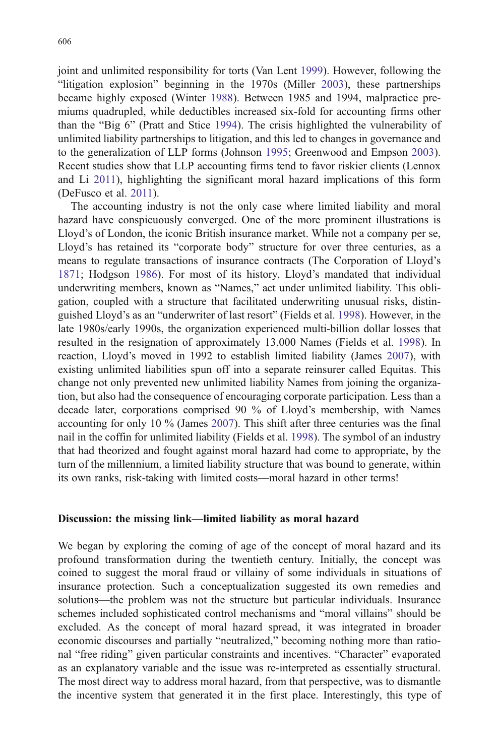joint and unlimited responsibility for torts (Van Lent 1999). However, following the "litigation explosion" beginning in the 1970s (Miller 2003), these partnerships became highly exposed (Winter 1988). Between 1985 and 1994, malpractice premiums quadrupled, while deductibles increased six-fold for accounting firms other than the "Big 6" (Pratt and Stice 1994). The crisis highlighted the vulnerability of unlimited liability partnerships to litigation, and this led to changes in governance and to the generalization of LLP forms (Johnson 1995; Greenwood and Empson 2003). Recent studies show that LLP accounting firms tend to favor riskier clients (Lennox and Li 2011), highlighting the significant moral hazard implications of this form (DeFusco et al. 2011).

The accounting industry is not the only case where limited liability and moral hazard have conspicuously converged. One of the more prominent illustrations is Lloyd's of London, the iconic British insurance market. While not a company per se, Lloyd's has retained its "corporate body" structure for over three centuries, as a means to regulate transactions of insurance contracts (The Corporation of Lloyd's 1871; Hodgson 1986). For most of its history, Lloyd's mandated that individual underwriting members, known as "Names," act under unlimited liability. This obligation, coupled with a structure that facilitated underwriting unusual risks, distinguished Lloyd's as an "underwriter of last resort" (Fields et al. 1998). However, in the late 1980s/early 1990s, the organization experienced multi-billion dollar losses that resulted in the resignation of approximately 13,000 Names (Fields et al. 1998). In reaction, Lloyd's moved in 1992 to establish limited liability (James 2007), with existing unlimited liabilities spun off into a separate reinsurer called Equitas. This change not only prevented new unlimited liability Names from joining the organization, but also had the consequence of encouraging corporate participation. Less than a decade later, corporations comprised 90 % of Lloyd's membership, with Names accounting for only 10 % (James 2007). This shift after three centuries was the final nail in the coffin for unlimited liability (Fields et al. 1998). The symbol of an industry that had theorized and fought against moral hazard had come to appropriate, by the turn of the millennium, a limited liability structure that was bound to generate, within its own ranks, risk-taking with limited costs—moral hazard in other terms!

#### Discussion: the missing link—limited liability as moral hazard

We began by exploring the coming of age of the concept of moral hazard and its profound transformation during the twentieth century. Initially, the concept was coined to suggest the moral fraud or villainy of some individuals in situations of insurance protection. Such a conceptualization suggested its own remedies and solutions—the problem was not the structure but particular individuals. Insurance schemes included sophisticated control mechanisms and "moral villains" should be excluded. As the concept of moral hazard spread, it was integrated in broader economic discourses and partially "neutralized," becoming nothing more than rational "free riding" given particular constraints and incentives. "Character" evaporated as an explanatory variable and the issue was re-interpreted as essentially structural. The most direct way to address moral hazard, from that perspective, was to dismantle the incentive system that generated it in the first place. Interestingly, this type of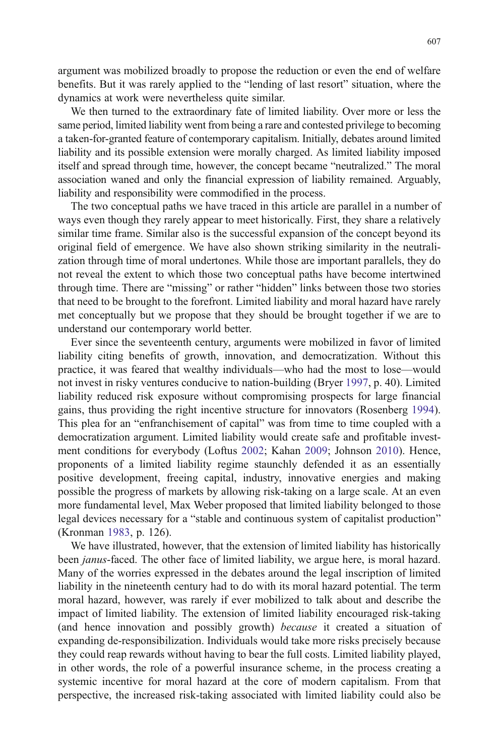argument was mobilized broadly to propose the reduction or even the end of welfare benefits. But it was rarely applied to the "lending of last resort" situation, where the dynamics at work were nevertheless quite similar.

We then turned to the extraordinary fate of limited liability. Over more or less the same period, limited liability went from being a rare and contested privilege to becoming a taken-for-granted feature of contemporary capitalism. Initially, debates around limited liability and its possible extension were morally charged. As limited liability imposed itself and spread through time, however, the concept became "neutralized." The moral association waned and only the financial expression of liability remained. Arguably, liability and responsibility were commodified in the process.

The two conceptual paths we have traced in this article are parallel in a number of ways even though they rarely appear to meet historically. First, they share a relatively similar time frame. Similar also is the successful expansion of the concept beyond its original field of emergence. We have also shown striking similarity in the neutralization through time of moral undertones. While those are important parallels, they do not reveal the extent to which those two conceptual paths have become intertwined through time. There are "missing" or rather "hidden" links between those two stories that need to be brought to the forefront. Limited liability and moral hazard have rarely met conceptually but we propose that they should be brought together if we are to understand our contemporary world better.

Ever since the seventeenth century, arguments were mobilized in favor of limited liability citing benefits of growth, innovation, and democratization. Without this practice, it was feared that wealthy individuals—who had the most to lose—would not invest in risky ventures conducive to nation-building (Bryer 1997, p. 40). Limited liability reduced risk exposure without compromising prospects for large financial gains, thus providing the right incentive structure for innovators (Rosenberg 1994). This plea for an "enfranchisement of capital" was from time to time coupled with a democratization argument. Limited liability would create safe and profitable investment conditions for everybody (Loftus 2002; Kahan 2009; Johnson 2010). Hence, proponents of a limited liability regime staunchly defended it as an essentially positive development, freeing capital, industry, innovative energies and making possible the progress of markets by allowing risk-taking on a large scale. At an even more fundamental level, Max Weber proposed that limited liability belonged to those legal devices necessary for a "stable and continuous system of capitalist production" (Kronman 1983, p. 126).

We have illustrated, however, that the extension of limited liability has historically been *janus*-faced. The other face of limited liability, we argue here, is moral hazard. Many of the worries expressed in the debates around the legal inscription of limited liability in the nineteenth century had to do with its moral hazard potential. The term moral hazard, however, was rarely if ever mobilized to talk about and describe the impact of limited liability. The extension of limited liability encouraged risk-taking (and hence innovation and possibly growth) because it created a situation of expanding de-responsibilization. Individuals would take more risks precisely because they could reap rewards without having to bear the full costs. Limited liability played, in other words, the role of a powerful insurance scheme, in the process creating a systemic incentive for moral hazard at the core of modern capitalism. From that perspective, the increased risk-taking associated with limited liability could also be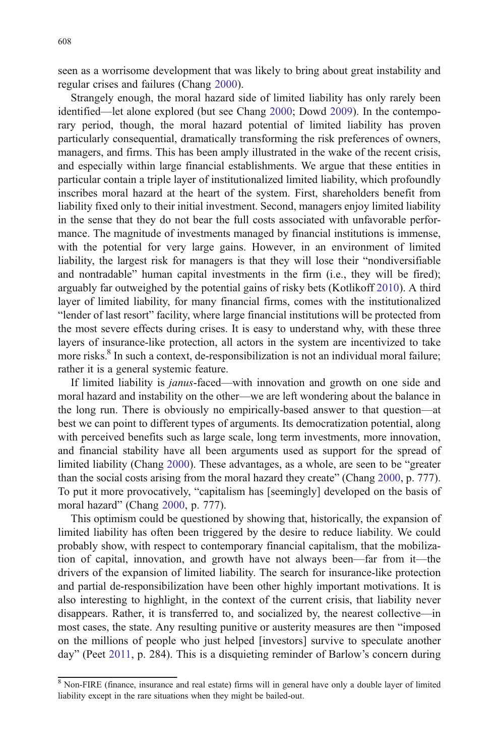seen as a worrisome development that was likely to bring about great instability and regular crises and failures (Chang 2000).

Strangely enough, the moral hazard side of limited liability has only rarely been identified—let alone explored (but see Chang 2000; Dowd 2009). In the contemporary period, though, the moral hazard potential of limited liability has proven particularly consequential, dramatically transforming the risk preferences of owners, managers, and firms. This has been amply illustrated in the wake of the recent crisis, and especially within large financial establishments. We argue that these entities in particular contain a triple layer of institutionalized limited liability, which profoundly inscribes moral hazard at the heart of the system. First, shareholders benefit from liability fixed only to their initial investment. Second, managers enjoy limited liability in the sense that they do not bear the full costs associated with unfavorable performance. The magnitude of investments managed by financial institutions is immense, with the potential for very large gains. However, in an environment of limited liability, the largest risk for managers is that they will lose their "nondiversifiable and nontradable" human capital investments in the firm (i.e., they will be fired); arguably far outweighed by the potential gains of risky bets (Kotlikoff 2010). A third layer of limited liability, for many financial firms, comes with the institutionalized "lender of last resort" facility, where large financial institutions will be protected from the most severe effects during crises. It is easy to understand why, with these three layers of insurance-like protection, all actors in the system are incentivized to take more risks.<sup>8</sup> In such a context, de-responsibilization is not an individual moral failure; rather it is a general systemic feature.

If limited liability is janus-faced—with innovation and growth on one side and moral hazard and instability on the other—we are left wondering about the balance in the long run. There is obviously no empirically-based answer to that question—at best we can point to different types of arguments. Its democratization potential, along with perceived benefits such as large scale, long term investments, more innovation, and financial stability have all been arguments used as support for the spread of limited liability (Chang 2000). These advantages, as a whole, are seen to be "greater than the social costs arising from the moral hazard they create" (Chang 2000, p. 777). To put it more provocatively, "capitalism has [seemingly] developed on the basis of moral hazard" (Chang 2000, p. 777).

This optimism could be questioned by showing that, historically, the expansion of limited liability has often been triggered by the desire to reduce liability. We could probably show, with respect to contemporary financial capitalism, that the mobilization of capital, innovation, and growth have not always been—far from it—the drivers of the expansion of limited liability. The search for insurance-like protection and partial de-responsibilization have been other highly important motivations. It is also interesting to highlight, in the context of the current crisis, that liability never disappears. Rather, it is transferred to, and socialized by, the nearest collective—in most cases, the state. Any resulting punitive or austerity measures are then "imposed on the millions of people who just helped [investors] survive to speculate another day" (Peet 2011, p. 284). This is a disquieting reminder of Barlow's concern during

<sup>&</sup>lt;sup>8</sup> Non-FIRE (finance, insurance and real estate) firms will in general have only a double layer of limited liability except in the rare situations when they might be bailed-out.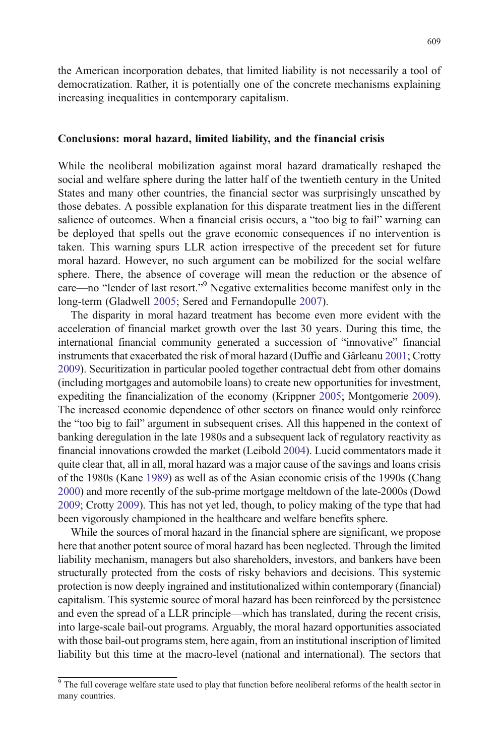the American incorporation debates, that limited liability is not necessarily a tool of democratization. Rather, it is potentially one of the concrete mechanisms explaining increasing inequalities in contemporary capitalism.

#### Conclusions: moral hazard, limited liability, and the financial crisis

While the neoliberal mobilization against moral hazard dramatically reshaped the social and welfare sphere during the latter half of the twentieth century in the United States and many other countries, the financial sector was surprisingly unscathed by those debates. A possible explanation for this disparate treatment lies in the different salience of outcomes. When a financial crisis occurs, a "too big to fail" warning can be deployed that spells out the grave economic consequences if no intervention is taken. This warning spurs LLR action irrespective of the precedent set for future moral hazard. However, no such argument can be mobilized for the social welfare sphere. There, the absence of coverage will mean the reduction or the absence of care—no "lender of last resort." <sup>9</sup> Negative externalities become manifest only in the long-term (Gladwell 2005; Sered and Fernandopulle 2007).

The disparity in moral hazard treatment has become even more evident with the acceleration of financial market growth over the last 30 years. During this time, the international financial community generated a succession of "innovative" financial instruments that exacerbated the risk of moral hazard (Duffie and Gârleanu 2001; Crotty 2009). Securitization in particular pooled together contractual debt from other domains (including mortgages and automobile loans) to create new opportunities for investment, expediting the financialization of the economy (Krippner 2005; Montgomerie 2009). The increased economic dependence of other sectors on finance would only reinforce the "too big to fail" argument in subsequent crises. All this happened in the context of banking deregulation in the late 1980s and a subsequent lack of regulatory reactivity as financial innovations crowded the market (Leibold 2004). Lucid commentators made it quite clear that, all in all, moral hazard was a major cause of the savings and loans crisis of the 1980s (Kane 1989) as well as of the Asian economic crisis of the 1990s (Chang 2000) and more recently of the sub-prime mortgage meltdown of the late-2000s (Dowd 2009; Crotty 2009). This has not yet led, though, to policy making of the type that had been vigorously championed in the healthcare and welfare benefits sphere.

While the sources of moral hazard in the financial sphere are significant, we propose here that another potent source of moral hazard has been neglected. Through the limited liability mechanism, managers but also shareholders, investors, and bankers have been structurally protected from the costs of risky behaviors and decisions. This systemic protection is now deeply ingrained and institutionalized within contemporary (financial) capitalism. This systemic source of moral hazard has been reinforced by the persistence and even the spread of a LLR principle—which has translated, during the recent crisis, into large-scale bail-out programs. Arguably, the moral hazard opportunities associated with those bail-out programs stem, here again, from an institutional inscription of limited liability but this time at the macro-level (national and international). The sectors that

<sup>&</sup>lt;sup>9</sup> The full coverage welfare state used to play that function before neoliberal reforms of the health sector in many countries.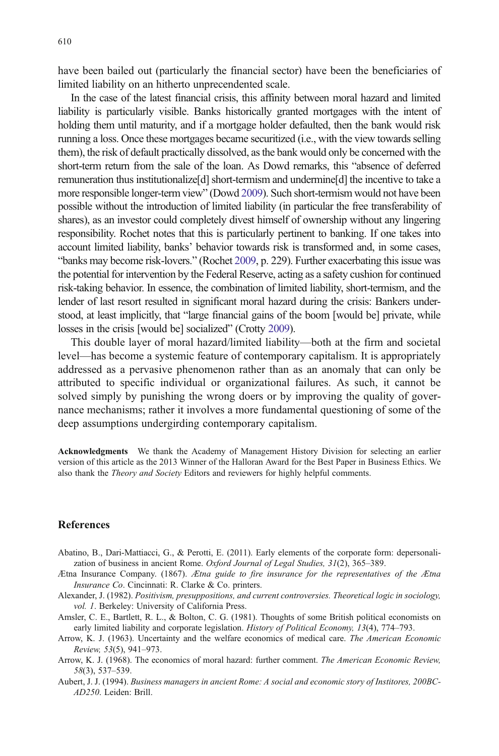have been bailed out (particularly the financial sector) have been the beneficiaries of limited liability on an hitherto unprecendented scale.

In the case of the latest financial crisis, this affinity between moral hazard and limited liability is particularly visible. Banks historically granted mortgages with the intent of holding them until maturity, and if a mortgage holder defaulted, then the bank would risk running a loss. Once these mortgages became securitized (i.e., with the view towards selling them), the risk of default practically dissolved, as the bank would only be concerned with the short-term return from the sale of the loan. As Dowd remarks, this "absence of deferred remuneration thus institutionalize[d] short-termism and undermine[d] the incentive to take a more responsible longer-term view" (Dowd 2009). Such short-termism would not have been possible without the introduction of limited liability (in particular the free transferability of shares), as an investor could completely divest himself of ownership without any lingering responsibility. Rochet notes that this is particularly pertinent to banking. If one takes into account limited liability, banks' behavior towards risk is transformed and, in some cases, "banks may become risk-lovers." (Rochet 2009, p. 229). Further exacerbating this issue was the potential for intervention by the Federal Reserve, acting as a safety cushion for continued risk-taking behavior. In essence, the combination of limited liability, short-termism, and the lender of last resort resulted in significant moral hazard during the crisis: Bankers understood, at least implicitly, that "large financial gains of the boom [would be] private, while losses in the crisis [would be] socialized" (Crotty 2009).

This double layer of moral hazard/limited liability—both at the firm and societal level—has become a systemic feature of contemporary capitalism. It is appropriately addressed as a pervasive phenomenon rather than as an anomaly that can only be attributed to specific individual or organizational failures. As such, it cannot be solved simply by punishing the wrong doers or by improving the quality of governance mechanisms; rather it involves a more fundamental questioning of some of the deep assumptions undergirding contemporary capitalism.

Acknowledgments We thank the Academy of Management History Division for selecting an earlier version of this article as the 2013 Winner of the Halloran Award for the Best Paper in Business Ethics. We also thank the *Theory and Society* Editors and reviewers for highly helpful comments.

#### References

- Abatino, B., Dari-Mattiacci, G., & Perotti, E. (2011). Early elements of the corporate form: depersonalization of business in ancient Rome. Oxford Journal of Legal Studies, 31(2), 365–389.
- Ætna Insurance Company. (1867). Ætna guide to fire insurance for the representatives of the Ætna Insurance Co. Cincinnati: R. Clarke & Co. printers.
- Alexander, J. (1982). Positivism, presuppositions, and current controversies. Theoretical logic in sociology, vol. 1. Berkeley: University of California Press.
- Amsler, C. E., Bartlett, R. L., & Bolton, C. G. (1981). Thoughts of some British political economists on early limited liability and corporate legislation. History of Political Economy, 13(4), 774–793.
- Arrow, K. J. (1963). Uncertainty and the welfare economics of medical care. The American Economic Review, 53(5), 941–973.
- Arrow, K. J. (1968). The economics of moral hazard: further comment. The American Economic Review, 58(3), 537–539.
- Aubert, J. J. (1994). Business managers in ancient Rome: A social and economic story of Institores, 200BC-AD250. Leiden: Brill.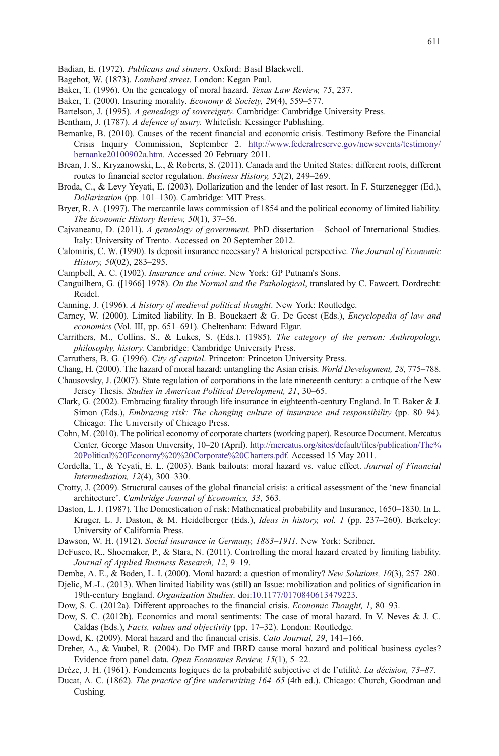- Bagehot, W. (1873). Lombard street. London: Kegan Paul.
- Baker, T. (1996). On the genealogy of moral hazard. Texas Law Review, 75, 237.
- Baker, T. (2000). Insuring morality. Economy & Society, 29(4), 559–577.
- Bartelson, J. (1995). A genealogy of sovereignty. Cambridge: Cambridge University Press.
- Bentham, J. (1787). A defence of usury. Whitefish: Kessinger Publishing.
- Bernanke, B. (2010). Causes of the recent financial and economic crisis. Testimony Before the Financial Crisis Inquiry Commission, September 2. [http://www.federalreserve.gov/newsevents/testimony/](http://www.federalreserve.gov/newsevents/testimony/bernanke20100902a.htm) [bernanke20100902a.htm](http://www.federalreserve.gov/newsevents/testimony/bernanke20100902a.htm). Accessed 20 February 2011.
- Brean, J. S., Kryzanowski, L., & Roberts, S. (2011). Canada and the United States: different roots, different routes to financial sector regulation. Business History, 52(2), 249–269.
- Broda, C., & Levy Yeyati, E. (2003). Dollarization and the lender of last resort. In F. Sturzenegger (Ed.), Dollarization (pp. 101–130). Cambridge: MIT Press.
- Bryer, R. A. (1997). The mercantile laws commission of 1854 and the political economy of limited liability. The Economic History Review, 50(1), 37–56.
- Cajvaneanu, D. (2011). A genealogy of government. PhD dissertation School of International Studies. Italy: University of Trento. Accessed on 20 September 2012.
- Calomiris, C. W. (1990). Is deposit insurance necessary? A historical perspective. The Journal of Economic History, 50(02), 283-295.
- Campbell, A. C. (1902). Insurance and crime. New York: GP Putnam's Sons.
- Canguilhem, G. ([1966] 1978). On the Normal and the Pathological, translated by C. Fawcett. Dordrecht: Reidel.
- Canning, J. (1996). A history of medieval political thought. New York: Routledge.
- Carney, W. (2000). Limited liability. In B. Bouckaert & G. De Geest (Eds.), Encyclopedia of law and economics (Vol. III, pp. 651–691). Cheltenham: Edward Elgar.
- Carrithers, M., Collins, S., & Lukes, S. (Eds.). (1985). The category of the person: Anthropology, philosophy, history. Cambridge: Cambridge University Press.
- Carruthers, B. G. (1996). City of capital. Princeton: Princeton University Press.
- Chang, H. (2000). The hazard of moral hazard: untangling the Asian crisis. World Development, 28, 775–788.
- Chausovsky, J. (2007). State regulation of corporations in the late nineteenth century: a critique of the New Jersey Thesis. Studies in American Political Development, 21, 30–65.
- Clark, G. (2002). Embracing fatality through life insurance in eighteenth-century England. In T. Baker & J. Simon (Eds.), Embracing risk: The changing culture of insurance and responsibility (pp. 80–94). Chicago: The University of Chicago Press.
- Cohn, M. (2010). The political economy of corporate charters (working paper). Resource Document. Mercatus Center, George Mason University, 10–20 (April). [http://mercatus.org/sites/default/files/publication/The%](http://mercatus.org/sites/default/files/publication/The%20Political%20Economy%20%20Corporate%20Charters.pdf) [20Political%20Economy%20%20Corporate%20Charters.pdf.](http://mercatus.org/sites/default/files/publication/The%20Political%20Economy%20%20Corporate%20Charters.pdf) Accessed 15 May 2011.
- Cordella, T., & Yeyati, E. L. (2003). Bank bailouts: moral hazard vs. value effect. Journal of Financial Intermediation, 12(4), 300–330.
- Crotty, J. (2009). Structural causes of the global financial crisis: a critical assessment of the 'new financial architecture'. Cambridge Journal of Economics, 33, 563.
- Daston, L. J. (1987). The Domestication of risk: Mathematical probability and Insurance, 1650–1830. In L. Kruger, L. J. Daston, & M. Heidelberger (Eds.), Ideas in history, vol. 1 (pp. 237–260). Berkeley: University of California Press.
- Dawson, W. H. (1912). Social insurance in Germany, 1883–1911. New York: Scribner.
- DeFusco, R., Shoemaker, P., & Stara, N. (2011). Controlling the moral hazard created by limiting liability. Journal of Applied Business Research, 12, 9–19.
- Dembe, A. E., & Boden, L. I. (2000). Moral hazard: a question of morality? New Solutions, 10(3), 257–280.
- Djelic, M.-L. (2013). When limited liability was (still) an Issue: mobilization and politics of signification in 19th-century England. Organization Studies. doi:[10.1177/0170840613479223](http://dx.doi.org/10.1177/0170840613479223).
- Dow, S. C. (2012a). Different approaches to the financial crisis. *Economic Thought*, 1, 80–93.
- Dow, S. C. (2012b). Economics and moral sentiments: The case of moral hazard. In V. Neves & J. C. Caldas (Eds.), Facts, values and objectivity (pp. 17–32). London: Routledge.
- Dowd, K. (2009). Moral hazard and the financial crisis. Cato Journal, 29, 141–166.
- Dreher, A., & Vaubel, R. (2004). Do IMF and IBRD cause moral hazard and political business cycles? Evidence from panel data. Open Economies Review, 15(1), 5–22.
- Drèze, J. H. (1961). Fondements logiques de la probabilité subjective et de l'utilité. La décision, 73–87.
- Ducat, A. C. (1862). The practice of fire underwriting 164–65 (4th ed.). Chicago: Church, Goodman and Cushing.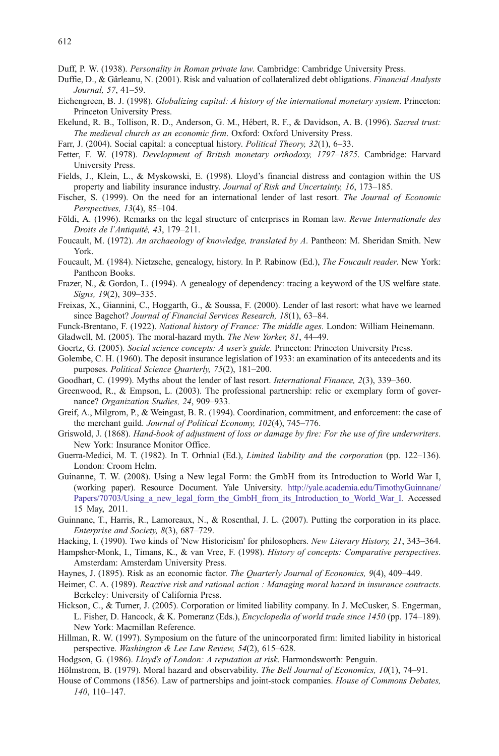- Duffie, D., & Gârleanu, N. (2001). Risk and valuation of collateralized debt obligations. Financial Analysts Journal, 57, 41–59.
- Eichengreen, B. J. (1998). Globalizing capital: A history of the international monetary system. Princeton: Princeton University Press.
- Ekelund, R. B., Tollison, R. D., Anderson, G. M., Hébert, R. F., & Davidson, A. B. (1996). Sacred trust: The medieval church as an economic firm. Oxford: Oxford University Press.
- Farr, J. (2004). Social capital: a conceptual history. *Political Theory*, 32(1), 6–33.
- Fetter, F. W. (1978). Development of British monetary orthodoxy, 1797–1875. Cambridge: Harvard University Press.
- Fields, J., Klein, L., & Myskowski, E. (1998). Lloyd's financial distress and contagion within the US property and liability insurance industry. Journal of Risk and Uncertainty, 16, 173–185.
- Fischer, S. (1999). On the need for an international lender of last resort. The Journal of Economic Perspectives, 13(4), 85–104.
- Földi, A. (1996). Remarks on the legal structure of enterprises in Roman law. Revue Internationale des Droits de l'Antiquité, 43, 179–211.
- Foucault, M. (1972). An archaeology of knowledge, translated by A. Pantheon: M. Sheridan Smith. New York.
- Foucault, M. (1984). Nietzsche, genealogy, history. In P. Rabinow (Ed.), The Foucault reader. New York: Pantheon Books.
- Frazer, N., & Gordon, L. (1994). A genealogy of dependency: tracing a keyword of the US welfare state. Signs, 19(2), 309–335.
- Freixas, X., Giannini, C., Hoggarth, G., & Soussa, F. (2000). Lender of last resort: what have we learned since Bagehot? Journal of Financial Services Research, 18(1), 63–84.
- Funck-Brentano, F. (1922). National history of France: The middle ages. London: William Heinemann.
- Gladwell, M. (2005). The moral-hazard myth. The New Yorker, 81, 44–49.
- Goertz, G. (2005). Social science concepts: A user's guide. Princeton: Princeton University Press.
- Golembe, C. H. (1960). The deposit insurance legislation of 1933: an examination of its antecedents and its purposes. Political Science Quarterly, 75(2), 181–200.
- Goodhart, C. (1999). Myths about the lender of last resort. International Finance, 2(3), 339–360.
- Greenwood, R., & Empson, L. (2003). The professional partnership: relic or exemplary form of governance? Organization Studies, 24, 909–933.
- Greif, A., Milgrom, P., & Weingast, B. R. (1994). Coordination, commitment, and enforcement: the case of the merchant guild. Journal of Political Economy, 102(4), 745–776.
- Griswold, J. (1868). Hand-book of adjustment of loss or damage by fire: For the use of fire underwriters. New York: Insurance Monitor Office.
- Guerra-Medici, M. T. (1982). In T. Orhnial (Ed.), *Limited liability and the corporation* (pp. 122–136). London: Croom Helm.
- Guinanne, T. W. (2008). Using a New legal Form: the GmbH from its Introduction to World War I, (working paper). Resource Document. Yale University. [http://yale.academia.edu/TimothyGuinnane/](http://yale.academia.edu/TimothyGuinnane/Papers/70703/Using_a_new_legal_form_the_GmbH_from_its_Introduction_to_World_War_I) Papers/70703/Using a new legal form the GmbH from its Introduction to World War I. Accessed 15 May, 2011.
- Guinnane, T., Harris, R., Lamoreaux, N., & Rosenthal, J. L. (2007). Putting the corporation in its place. Enterprise and Society, 8(3), 687–729.
- Hacking, I. (1990). Two kinds of 'New Historicism' for philosophers. New Literary History, 21, 343–364.
- Hampsher-Monk, I., Timans, K., & van Vree, F. (1998). History of concepts: Comparative perspectives. Amsterdam: Amsterdam University Press.
- Haynes, J. (1895). Risk as an economic factor. The Quarterly Journal of Economics, 9(4), 409-449.
- Heimer, C. A. (1989). Reactive risk and rational action : Managing moral hazard in insurance contracts. Berkeley: University of California Press.
- Hickson, C., & Turner, J. (2005). Corporation or limited liability company. In J. McCusker, S. Engerman, L. Fisher, D. Hancock, & K. Pomeranz (Eds.), Encyclopedia of world trade since 1450 (pp. 174–189). New York: Macmillan Reference.
- Hillman, R. W. (1997). Symposium on the future of the unincorporated firm: limited liability in historical perspective. Washington & Lee Law Review, 54(2), 615–628.
- Hodgson, G. (1986). Lloyd's of London: A reputation at risk. Harmondsworth: Penguin.
- Hölmstrom, B. (1979). Moral hazard and observability. The Bell Journal of Economics, 10(1), 74-91.
- House of Commons (1856). Law of partnerships and joint-stock companies. House of Commons Debates, 140, 110–147.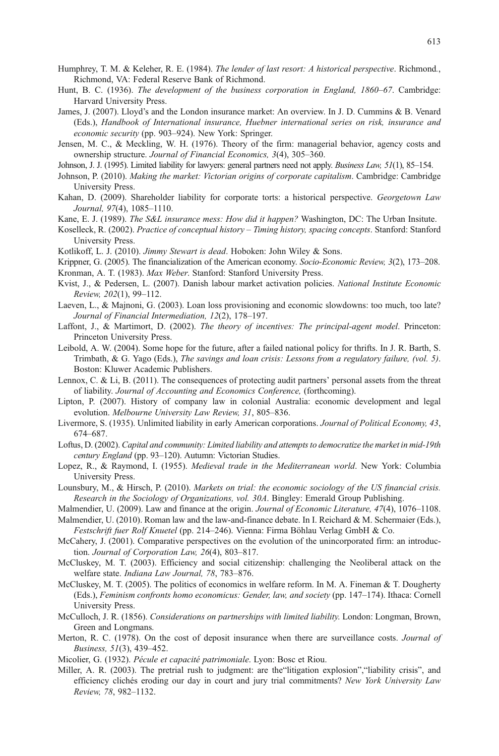- Humphrey, T. M. & Keleher, R. E. (1984). The lender of last resort: A historical perspective. Richmond., Richmond, VA: Federal Reserve Bank of Richmond.
- Hunt, B. C. (1936). The development of the business corporation in England, 1860–67. Cambridge: Harvard University Press.
- James, J. (2007). Lloyd's and the London insurance market: An overview. In J. D. Cummins & B. Venard (Eds.), Handbook of International insurance, Huebner international series on risk, insurance and economic security (pp. 903–924). New York: Springer.
- Jensen, M. C., & Meckling, W. H. (1976). Theory of the firm: managerial behavior, agency costs and ownership structure. Journal of Financial Economics, 3(4), 305–360.
- Johnson, J. J. (1995). Limited liability for lawyers: general partners need not apply. Business Law, 51(1), 85–154.
- Johnson, P. (2010). Making the market: Victorian origins of corporate capitalism. Cambridge: Cambridge University Press.
- Kahan, D. (2009). Shareholder liability for corporate torts: a historical perspective. Georgetown Law Journal, 97(4), 1085–1110.

Kane, E. J. (1989). The S&L insurance mess: How did it happen? Washington, DC: The Urban Insitute.

- Koselleck, R. (2002). Practice of conceptual history Timing history, spacing concepts. Stanford: Stanford University Press.
- Kotlikoff, L. J. (2010). Jimmy Stewart is dead. Hoboken: John Wiley & Sons.
- Krippner, G. (2005). The financialization of the American economy. Socio-Economic Review, 3(2), 173–208. Kronman, A. T. (1983). Max Weber. Stanford: Stanford University Press.
- Kvist, J., & Pedersen, L. (2007). Danish labour market activation policies. National Institute Economic Review, 202(1), 99–112.
- Laeven, L., & Majnoni, G. (2003). Loan loss provisioning and economic slowdowns: too much, too late? Journal of Financial Intermediation, 12(2), 178–197.
- Laffont, J., & Martimort, D. (2002). The theory of incentives: The principal-agent model. Princeton: Princeton University Press.
- Leibold, A. W. (2004). Some hope for the future, after a failed national policy for thrifts. In J. R. Barth, S. Trimbath, & G. Yago (Eds.), The savings and loan crisis: Lessons from a regulatory failure, (vol. 5). Boston: Kluwer Academic Publishers.
- Lennox, C. & Li, B. (2011). The consequences of protecting audit partners' personal assets from the threat of liability. Journal of Accounting and Economics Conference, (forthcoming).
- Lipton, P. (2007). History of company law in colonial Australia: economic development and legal evolution. Melbourne University Law Review, 31, 805–836.
- Livermore, S. (1935). Unlimited liability in early American corporations. Journal of Political Economy, 43, 674–687.
- Loftus, D. (2002). Capital and community: Limited liability and attempts to democratize the market in mid-19th century England (pp. 93–120). Autumn: Victorian Studies.
- Lopez, R., & Raymond, I. (1955). Medieval trade in the Mediterranean world. New York: Columbia University Press.
- Lounsbury, M., & Hirsch, P. (2010). Markets on trial: the economic sociology of the US financial crisis. Research in the Sociology of Organizations, vol. 30A. Bingley: Emerald Group Publishing.
- Malmendier, U. (2009). Law and finance at the origin. Journal of Economic Literature, 47(4), 1076–1108.
- Malmendier, U. (2010). Roman law and the law-and-finance debate. In I. Reichard & M. Schermaier (Eds.), Festschrift fuer Rolf Knuetel (pp. 214–246). Vienna: Firma Böhlau Verlag GmbH & Co.
- McCahery, J. (2001). Comparative perspectives on the evolution of the unincorporated firm: an introduction. Journal of Corporation Law, 26(4), 803–817.
- McCluskey, M. T. (2003). Efficiency and social citizenship: challenging the Neoliberal attack on the welfare state. Indiana Law Journal, 78, 783–876.
- McCluskey, M. T. (2005). The politics of economics in welfare reform. In M. A. Fineman & T. Dougherty (Eds.), Feminism confronts homo economicus: Gender, law, and society (pp. 147–174). Ithaca: Cornell University Press.
- McCulloch, J. R. (1856). Considerations on partnerships with limited liability. London: Longman, Brown, Green and Longmans.
- Merton, R. C. (1978). On the cost of deposit insurance when there are surveillance costs. Journal of Business, 51(3), 439–452.
- Micolier, G. (1932). Pécule et capacité patrimoniale. Lyon: Bosc et Riou.
- Miller, A. R. (2003). The pretrial rush to judgment: are the"litigation explosion","liability crisis", and efficiency clichés eroding our day in court and jury trial commitments? New York University Law Review, 78, 982–1132.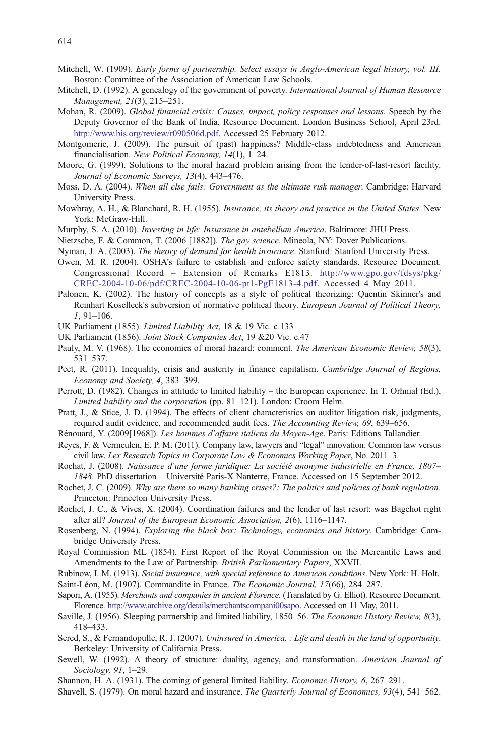- Mitchell, W. (1909). Early forms of partnership. Select essays in Anglo-American legal history, vol. III. Boston: Committee of the Association of American Law Schools.
- Mitchell, D. (1992). A genealogy of the government of poverty. International Journal of Human Resource Management, 21(3), 215–251.
- Mohan, R. (2009). Global financial crisis: Causes, impact, policy responses and lessons. Speech by the Deputy Governor of the Bank of India. Resource Document. London Business School, April 23rd. <http://www.bis.org/review/r090506d.pdf>. Accessed 25 February 2012.
- Montgomerie, J. (2009). The pursuit of (past) happiness? Middle-class indebtedness and American financialisation. New Political Economy, 14(1), 1–24.
- Moore, G. (1999). Solutions to the moral hazard problem arising from the lender-of-last-resort facility. Journal of Economic Surveys, 13(4), 443–476.
- Moss, D. A. (2004). When all else fails: Government as the ultimate risk manager. Cambridge: Harvard University Press.
- Mowbray, A. H., & Blanchard, R. H. (1955). Insurance, its theory and practice in the United States. New York: McGraw-Hill.
- Murphy, S. A. (2010). Investing in life: Insurance in antebellum America. Baltimore: JHU Press.
- Nietzsche, F. & Common, T. (2006 [1882]). The gay science. Mineola, NY: Dover Publications.
- Nyman, J. A. (2003). The theory of demand for health insurance. Stanford: Stanford University Press.
- Owen, M. R. (2004). OSHA's failure to establish and enforce safety standards. Resource Document. Congressional Record – Extension of Remarks E1813. [http://www.gpo.gov/fdsys/pkg/](http://www.gpo.gov/fdsys/pkg/CREC-2004-10-06/pdf/CREC-2004-10-06-pt1-PgE1813-4.pdf) [CREC-2004-10-06/pdf/CREC-2004-10-06-pt1-PgE1813-4.pdf](http://www.gpo.gov/fdsys/pkg/CREC-2004-10-06/pdf/CREC-2004-10-06-pt1-PgE1813-4.pdf). Accessed 4 May 2011.
- Palonen, K. (2002). The history of concepts as a style of political theorizing: Quentin Skinner's and Reinhart Koselleck's subversion of normative political theory. European Journal of Political Theory, 1, 91–106.
- UK Parliament (1855). Limited Liability Act, 18 & 19 Vic. c.133
- UK Parliament (1856). Joint Stock Companies Act, 19 &20 Vic. c.47
- Pauly, M. V. (1968). The economics of moral hazard: comment. The American Economic Review, 58(3), 531–537.
- Peet, R. (2011). Inequality, crisis and austerity in finance capitalism. Cambridge Journal of Regions, Economy and Society, 4, 383–399.
- Perrott, D. (1982). Changes in attitude to limited liability the European experience. In T. Orhnial (Ed.), Limited liability and the corporation (pp. 81–121). London: Croom Helm.
- Pratt, J., & Stice, J. D. (1994). The effects of client characteristics on auditor litigation risk, judgments, required audit evidence, and recommended audit fees. The Accounting Review, 69, 639–656.
- Rénouard, Y. (2009[1968]). Les hommes d'affaire italiens du Moyen-Age. Paris: Editions Tallandier.
- Reyes, F. & Vermeulen, E. P. M. (2011). Company law, lawyers and "legal" innovation: Common law versus civil law. Lex Research Topics in Corporate Law & Economics Working Paper, No. 2011–3.
- Rochat, J. (2008). Naissance d'une forme juridique: La société anonyme industrielle en France, 1807– 1848. PhD dissertation – Université Paris-X Nanterre, France. Accessed on 15 September 2012.
- Rochet, J. C. (2009). Why are there so many banking crises?: The politics and policies of bank regulation. Princeton: Princeton University Press.
- Rochet, J. C., & Vives, X. (2004). Coordination failures and the lender of last resort: was Bagehot right after all? Journal of the European Economic Association, 2(6), 1116–1147.
- Rosenberg, N. (1994). Exploring the black box: Technology, economics and history. Cambridge: Cambridge University Press.
- Royal Commission ML (1854). First Report of the Royal Commission on the Mercantile Laws and Amendments to the Law of Partnership. British Parliamentary Papers, XXVII.
- Rubinow, I. M. (1913). Social insurance, with special reference to American conditions. New York: H. Holt. Saint-Léon, M. (1907). Commandite in France. The Economic Journal, 17(66), 284–287.
- Sapori, A. (1955). Merchants and companies in ancient Florence. (Translated by G. Elliot). Resource Document. Florence. [http://www.archive.org/details/merchantscompani00sapo.](http://www.archive.org/details/merchantscompani00sapo) Accessed on 11 May, 2011.
- Saville, J. (1956). Sleeping partnership and limited liability, 1850–56. The Economic History Review, 8(3), 418–433.
- Sered, S., & Fernandopulle, R. J. (2007). Uninsured in America. : Life and death in the land of opportunity. Berkeley: University of California Press.
- Sewell, W. (1992). A theory of structure: duality, agency, and transformation. American Journal of Sociology, 91, 1–29.
- Shannon, H. A. (1931). The coming of general limited liability. Economic History, 6, 267–291.
- Shavell, S. (1979). On moral hazard and insurance. The Quarterly Journal of Economics, 93(4), 541–562.